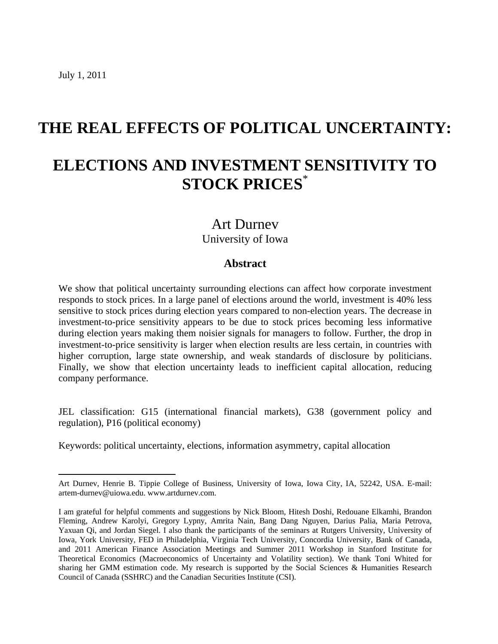$\overline{a}$ 

# **THE REAL EFFECTS OF POLITICAL UNCERTAINTY: ELECTIONS AND INVESTMENT SENSITIVITY TO STOCK PRICES**\*

## Art Durnev University of Iowa

## **Abstract**

We show that political uncertainty surrounding elections can affect how corporate investment responds to stock prices. In a large panel of elections around the world, investment is 40% less sensitive to stock prices during election years compared to non-election years. The decrease in investment-to-price sensitivity appears to be due to stock prices becoming less informative during election years making them noisier signals for managers to follow. Further, the drop in investment-to-price sensitivity is larger when election results are less certain, in countries with higher corruption, large state ownership, and weak standards of disclosure by politicians. Finally, we show that election uncertainty leads to inefficient capital allocation, reducing company performance.

JEL classification: G15 (international financial markets), G38 (government policy and regulation), P16 (political economy)

Keywords: political uncertainty, elections, information asymmetry, capital allocation

Art Durnev, Henrie B. Tippie College of Business, University of Iowa, Iowa City, IA, 52242, USA. E-mail: artem-durnev@uiowa.edu. www.artdurnev.com.

I am grateful for helpful comments and suggestions by Nick Bloom, Hitesh Doshi, Redouane Elkamhi, Brandon Fleming, Andrew Karolyi, Gregory Lypny, Amrita Nain, Bang Dang Nguyen, Darius Palia, Maria Petrova, Yaxuan Qi, and Jordan Siegel. I also thank the participants of the seminars at Rutgers University, University of Iowa, York University, FED in Philadelphia, Virginia Tech University, Concordia University, Bank of Canada, and 2011 American Finance Association Meetings and Summer 2011 Workshop in Stanford Institute for Theoretical Economics (Macroeconomics of Uncertainty and Volatility section). We thank Toni Whited for sharing her GMM estimation code. My research is supported by the Social Sciences & Humanities Research Council of Canada (SSHRC) and the Canadian Securities Institute (CSI).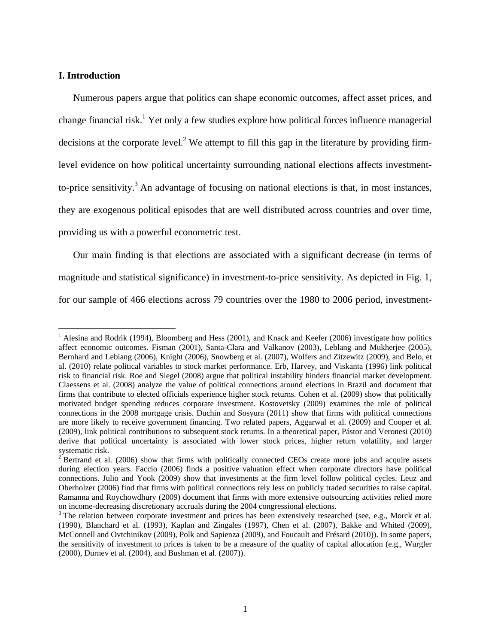#### **I. Introduction**

1

Numerous papers argue that politics can shape economic outcomes, affect asset prices, and change financial risk.<sup>1</sup> Yet only a few studies explore how political forces influence managerial decisions at the corporate level.<sup>2</sup> We attempt to fill this gap in the literature by providing firmlevel evidence on how political uncertainty surrounding national elections affects investmentto-price sensitivity.<sup>3</sup> An advantage of focusing on national elections is that, in most instances, they are exogenous political episodes that are well distributed across countries and over time, providing us with a powerful econometric test.

Our main finding is that elections are associated with a significant decrease (in terms of magnitude and statistical significance) in investment-to-price sensitivity. As depicted in Fig. 1, for our sample of 466 elections across 79 countries over the 1980 to 2006 period, investment-

<sup>&</sup>lt;sup>1</sup> Alesina and Rodrik (1994), Bloomberg and Hess (2001), and Knack and Keefer (2006) investigate how politics affect economic outcomes. Fisman (2001), Santa-Clara and Valkanov (2003), Leblang and Mukherjee (2005), Bernhard and Leblang (2006), Knight (2006), Snowberg et al. (2007), Wolfers and Zitzewitz (2009), and Belo, et al. (2010) relate political variables to stock market performance. Erb, Harvey, and Viskanta (1996) link political risk to financial risk. Roe and Siegel (2008) argue that political instability hinders financial market development. Claessens et al. (2008) analyze the value of political connections around elections in Brazil and document that firms that contribute to elected officials experience higher stock returns. Cohen et al. (2009) show that politically motivated budget spending reduces corporate investment. Kostovetsky (2009) examines the role of political connections in the 2008 mortgage crisis. Duchin and Sosyura (2011) show that firms with political connections are more likely to receive government financing. Two related papers, Aggarwal et al. (2009) and Cooper et al. (2009), link political contributions to subsequent stock returns. In a theoretical paper, Pástor and Veronesi (2010) derive that political uncertainty is associated with lower stock prices, higher return volatility, and larger systematic risk.<br><sup>2</sup> Bertrand et al. (2006) show that firms with politically connected CEOs create more jobs and acquire assets

during election years. Faccio (2006) finds a positive valuation effect when corporate directors have political connections. Julio and Yook (2009) show that investments at the firm level follow political cycles. Leuz and Oberholzer (2006) find that firms with political connections rely less on publicly traded securities to raise capital. Ramanna and Roychowdhury (2009) document that firms with more extensive outsourcing activities relied more on income-decreasing discretionary accruals during the 2004 congressional elections. 3

<sup>&</sup>lt;sup>3</sup> The relation between corporate investment and prices has been extensively researched (see, e.g., Morck et al. (1990), Blanchard et al. (1993), Kaplan and Zingales (1997), Chen et al. (2007), Bakke and Whited (2009), McConnell and Ovtchinikov (2009), Polk and Sapienza (2009), and Foucault and Frésard (2010)). In some papers, the sensitivity of investment to prices is taken to be a measure of the quality of capital allocation (e.g., Wurgler (2000), Durnev et al. (2004), and Bushman et al. (2007)).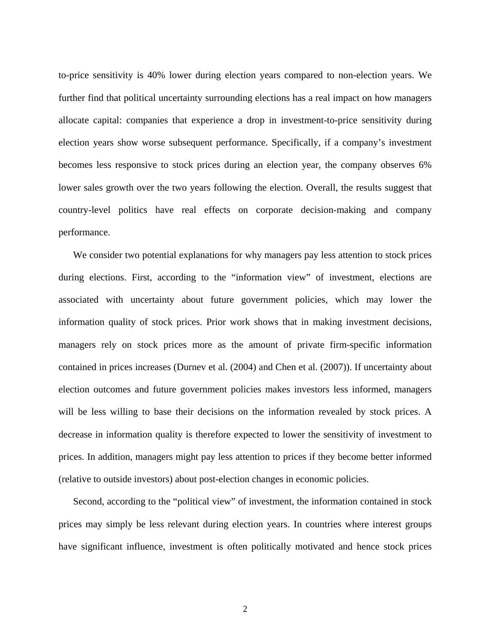to-price sensitivity is 40% lower during election years compared to non-election years. We further find that political uncertainty surrounding elections has a real impact on how managers allocate capital: companies that experience a drop in investment-to-price sensitivity during election years show worse subsequent performance. Specifically, if a company's investment becomes less responsive to stock prices during an election year, the company observes 6% lower sales growth over the two years following the election. Overall, the results suggest that country-level politics have real effects on corporate decision-making and company performance.

We consider two potential explanations for why managers pay less attention to stock prices during elections. First, according to the "information view" of investment, elections are associated with uncertainty about future government policies, which may lower the information quality of stock prices. Prior work shows that in making investment decisions, managers rely on stock prices more as the amount of private firm-specific information contained in prices increases (Durnev et al. (2004) and Chen et al. (2007)). If uncertainty about election outcomes and future government policies makes investors less informed, managers will be less willing to base their decisions on the information revealed by stock prices. A decrease in information quality is therefore expected to lower the sensitivity of investment to prices. In addition, managers might pay less attention to prices if they become better informed (relative to outside investors) about post-election changes in economic policies.

Second, according to the "political view" of investment, the information contained in stock prices may simply be less relevant during election years. In countries where interest groups have significant influence, investment is often politically motivated and hence stock prices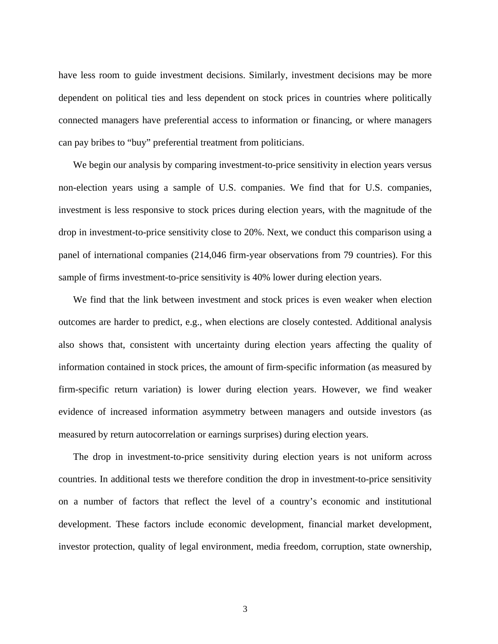have less room to guide investment decisions. Similarly, investment decisions may be more dependent on political ties and less dependent on stock prices in countries where politically connected managers have preferential access to information or financing, or where managers can pay bribes to "buy" preferential treatment from politicians.

We begin our analysis by comparing investment-to-price sensitivity in election years versus non-election years using a sample of U.S. companies. We find that for U.S. companies, investment is less responsive to stock prices during election years, with the magnitude of the drop in investment-to-price sensitivity close to 20%. Next, we conduct this comparison using a panel of international companies (214,046 firm-year observations from 79 countries). For this sample of firms investment-to-price sensitivity is 40% lower during election years.

We find that the link between investment and stock prices is even weaker when election outcomes are harder to predict, e.g., when elections are closely contested. Additional analysis also shows that, consistent with uncertainty during election years affecting the quality of information contained in stock prices, the amount of firm-specific information (as measured by firm-specific return variation) is lower during election years. However, we find weaker evidence of increased information asymmetry between managers and outside investors (as measured by return autocorrelation or earnings surprises) during election years.

The drop in investment-to-price sensitivity during election years is not uniform across countries. In additional tests we therefore condition the drop in investment-to-price sensitivity on a number of factors that reflect the level of a country's economic and institutional development. These factors include economic development, financial market development, investor protection, quality of legal environment, media freedom, corruption, state ownership,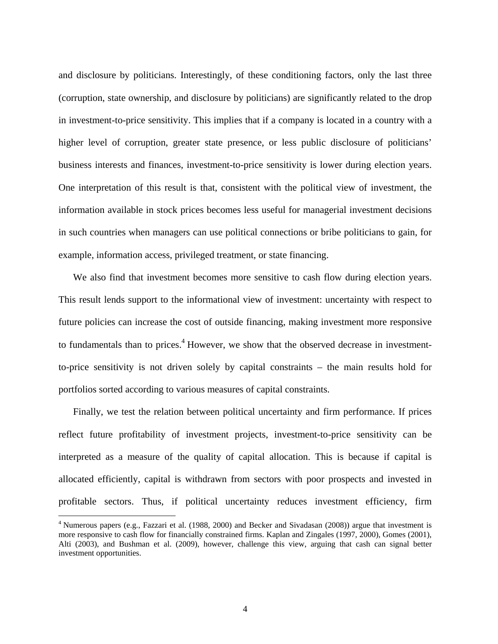and disclosure by politicians. Interestingly, of these conditioning factors, only the last three (corruption, state ownership, and disclosure by politicians) are significantly related to the drop in investment-to-price sensitivity. This implies that if a company is located in a country with a higher level of corruption, greater state presence, or less public disclosure of politicians' business interests and finances, investment-to-price sensitivity is lower during election years. One interpretation of this result is that, consistent with the political view of investment, the information available in stock prices becomes less useful for managerial investment decisions in such countries when managers can use political connections or bribe politicians to gain, for example, information access, privileged treatment, or state financing.

We also find that investment becomes more sensitive to cash flow during election years. This result lends support to the informational view of investment: uncertainty with respect to future policies can increase the cost of outside financing, making investment more responsive to fundamentals than to prices.<sup>4</sup> However, we show that the observed decrease in investmentto-price sensitivity is not driven solely by capital constraints – the main results hold for portfolios sorted according to various measures of capital constraints.

Finally, we test the relation between political uncertainty and firm performance. If prices reflect future profitability of investment projects, investment-to-price sensitivity can be interpreted as a measure of the quality of capital allocation. This is because if capital is allocated efficiently, capital is withdrawn from sectors with poor prospects and invested in profitable sectors. Thus, if political uncertainty reduces investment efficiency, firm

<sup>&</sup>lt;sup>4</sup> Numerous papers (e.g., Fazzari et al. (1988, 2000) and Becker and Sivadasan (2008)) argue that investment is more responsive to cash flow for financially constrained firms. Kaplan and Zingales (1997, 2000), Gomes (2001), Alti (2003), and Bushman et al. (2009), however, challenge this view, arguing that cash can signal better investment opportunities.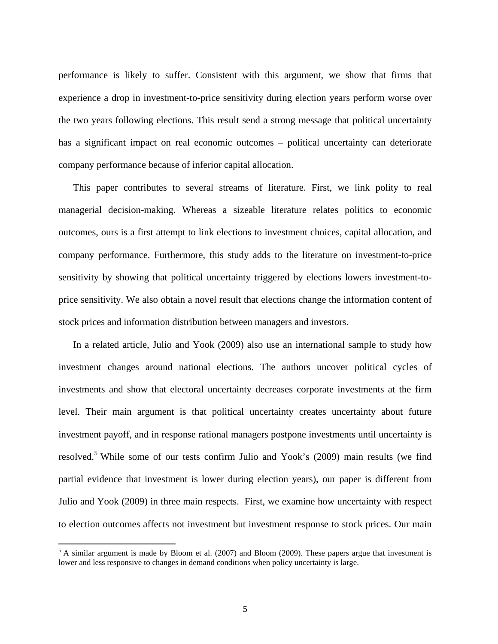performance is likely to suffer. Consistent with this argument, we show that firms that experience a drop in investment-to-price sensitivity during election years perform worse over the two years following elections. This result send a strong message that political uncertainty has a significant impact on real economic outcomes – political uncertainty can deteriorate company performance because of inferior capital allocation.

This paper contributes to several streams of literature. First, we link polity to real managerial decision-making. Whereas a sizeable literature relates politics to economic outcomes, ours is a first attempt to link elections to investment choices, capital allocation, and company performance. Furthermore, this study adds to the literature on investment-to-price sensitivity by showing that political uncertainty triggered by elections lowers investment-toprice sensitivity. We also obtain a novel result that elections change the information content of stock prices and information distribution between managers and investors.

In a related article, Julio and Yook (2009) also use an international sample to study how investment changes around national elections. The authors uncover political cycles of investments and show that electoral uncertainty decreases corporate investments at the firm level. Their main argument is that political uncertainty creates uncertainty about future investment payoff, and in response rational managers postpone investments until uncertainty is resolved.<sup>5</sup> While some of our tests confirm Julio and Yook's (2009) main results (we find partial evidence that investment is lower during election years), our paper is different from Julio and Yook (2009) in three main respects. First, we examine how uncertainty with respect to election outcomes affects not investment but investment response to stock prices. Our main

<sup>&</sup>lt;sup>5</sup> A similar argument is made by Bloom et al. (2007) and Bloom (2009). These papers argue that investment is lower and less responsive to changes in demand conditions when policy uncertainty is large.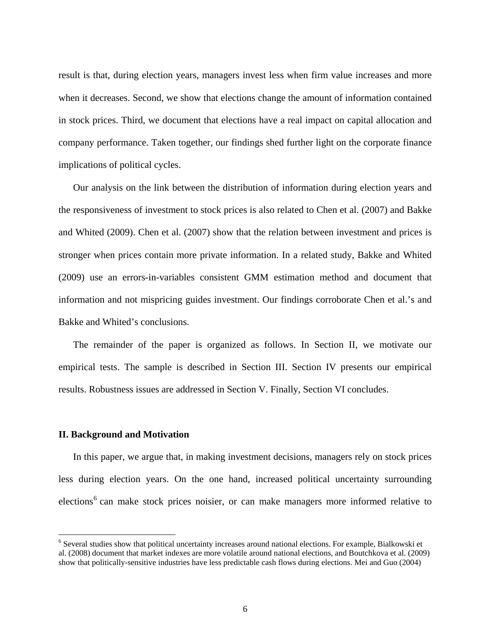result is that, during election years, managers invest less when firm value increases and more when it decreases. Second, we show that elections change the amount of information contained in stock prices. Third, we document that elections have a real impact on capital allocation and company performance. Taken together, our findings shed further light on the corporate finance implications of political cycles.

Our analysis on the link between the distribution of information during election years and the responsiveness of investment to stock prices is also related to Chen et al. (2007) and Bakke and Whited (2009). Chen et al. (2007) show that the relation between investment and prices is stronger when prices contain more private information. In a related study, Bakke and Whited (2009) use an errors-in-variables consistent GMM estimation method and document that information and not mispricing guides investment. Our findings corroborate Chen et al.'s and Bakke and Whited's conclusions.

The remainder of the paper is organized as follows. In Section II, we motivate our empirical tests. The sample is described in Section III. Section IV presents our empirical results. Robustness issues are addressed in Section V. Finally, Section VI concludes.

#### **II. Background and Motivation**

1

In this paper, we argue that, in making investment decisions, managers rely on stock prices less during election years. On the one hand, increased political uncertainty surrounding elections<sup>6</sup> can make stock prices noisier, or can make managers more informed relative to

<sup>&</sup>lt;sup>6</sup> Several studies show that political uncertainty increases around national elections. For example, Bialkowski et al. (2008) document that market indexes are more volatile around national elections, and Boutchkova et al. (2009) show that politically-sensitive industries have less predictable cash flows during elections. Mei and Guo (2004)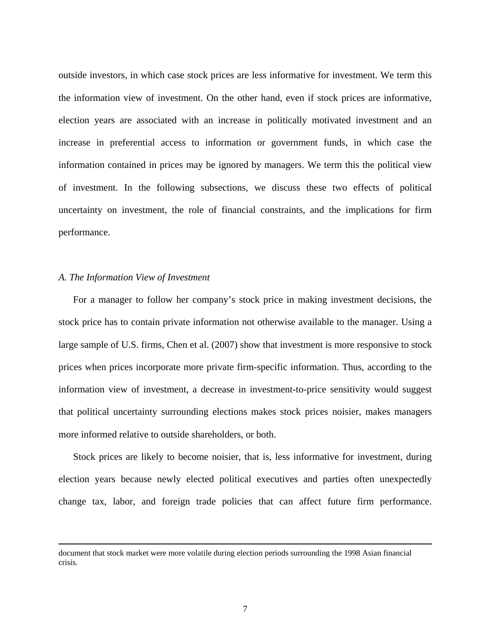outside investors, in which case stock prices are less informative for investment. We term this the information view of investment. On the other hand, even if stock prices are informative, election years are associated with an increase in politically motivated investment and an increase in preferential access to information or government funds, in which case the information contained in prices may be ignored by managers. We term this the political view of investment. In the following subsections, we discuss these two effects of political uncertainty on investment, the role of financial constraints, and the implications for firm performance.

#### *A. The Information View of Investment*

For a manager to follow her company's stock price in making investment decisions, the stock price has to contain private information not otherwise available to the manager. Using a large sample of U.S. firms, Chen et al. (2007) show that investment is more responsive to stock prices when prices incorporate more private firm-specific information. Thus, according to the information view of investment, a decrease in investment-to-price sensitivity would suggest that political uncertainty surrounding elections makes stock prices noisier, makes managers more informed relative to outside shareholders, or both.

Stock prices are likely to become noisier, that is, less informative for investment, during election years because newly elected political executives and parties often unexpectedly change tax, labor, and foreign trade policies that can affect future firm performance.

document that stock market were more volatile during election periods surrounding the 1998 Asian financial crisis.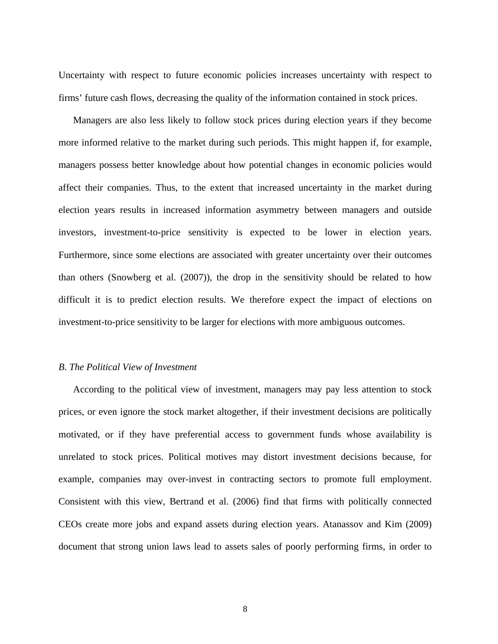Uncertainty with respect to future economic policies increases uncertainty with respect to firms' future cash flows, decreasing the quality of the information contained in stock prices.

Managers are also less likely to follow stock prices during election years if they become more informed relative to the market during such periods. This might happen if, for example, managers possess better knowledge about how potential changes in economic policies would affect their companies. Thus, to the extent that increased uncertainty in the market during election years results in increased information asymmetry between managers and outside investors, investment-to-price sensitivity is expected to be lower in election years. Furthermore, since some elections are associated with greater uncertainty over their outcomes than others (Snowberg et al. (2007)), the drop in the sensitivity should be related to how difficult it is to predict election results. We therefore expect the impact of elections on investment-to-price sensitivity to be larger for elections with more ambiguous outcomes.

#### *B. The Political View of Investment*

According to the political view of investment, managers may pay less attention to stock prices, or even ignore the stock market altogether, if their investment decisions are politically motivated, or if they have preferential access to government funds whose availability is unrelated to stock prices. Political motives may distort investment decisions because, for example, companies may over-invest in contracting sectors to promote full employment. Consistent with this view, Bertrand et al. (2006) find that firms with politically connected CEOs create more jobs and expand assets during election years. Atanassov and Kim (2009) document that strong union laws lead to assets sales of poorly performing firms, in order to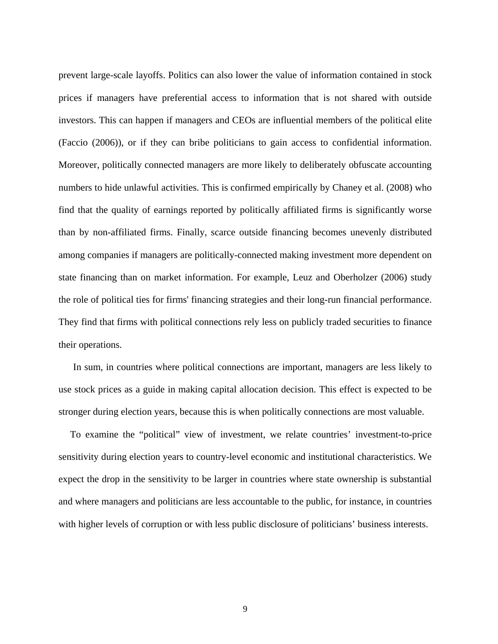prevent large-scale layoffs. Politics can also lower the value of information contained in stock prices if managers have preferential access to information that is not shared with outside investors. This can happen if managers and CEOs are influential members of the political elite (Faccio (2006)), or if they can bribe politicians to gain access to confidential information. Moreover, politically connected managers are more likely to deliberately obfuscate accounting numbers to hide unlawful activities. This is confirmed empirically by Chaney et al. (2008) who find that the quality of earnings reported by politically affiliated firms is significantly worse than by non-affiliated firms. Finally, scarce outside financing becomes unevenly distributed among companies if managers are politically-connected making investment more dependent on state financing than on market information. For example, Leuz and Oberholzer (2006) study the role of political ties for firms' financing strategies and their long-run financial performance. They find that firms with political connections rely less on publicly traded securities to finance their operations.

In sum, in countries where political connections are important, managers are less likely to use stock prices as a guide in making capital allocation decision. This effect is expected to be stronger during election years, because this is when politically connections are most valuable.

To examine the "political" view of investment, we relate countries' investment-to-price sensitivity during election years to country-level economic and institutional characteristics. We expect the drop in the sensitivity to be larger in countries where state ownership is substantial and where managers and politicians are less accountable to the public, for instance, in countries with higher levels of corruption or with less public disclosure of politicians' business interests.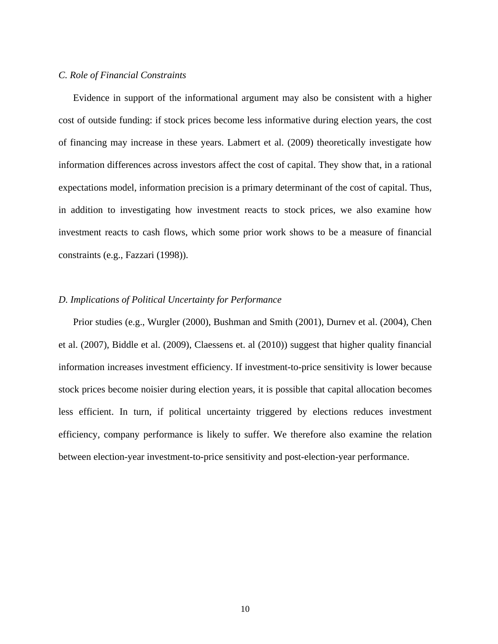#### *C. Role of Financial Constraints*

Evidence in support of the informational argument may also be consistent with a higher cost of outside funding: if stock prices become less informative during election years, the cost of financing may increase in these years. Labmert et al. (2009) theoretically investigate how information differences across investors affect the cost of capital. They show that, in a rational expectations model, information precision is a primary determinant of the cost of capital. Thus, in addition to investigating how investment reacts to stock prices, we also examine how investment reacts to cash flows, which some prior work shows to be a measure of financial constraints (e.g., Fazzari (1998)).

## *D. Implications of Political Uncertainty for Performance*

Prior studies (e.g., Wurgler (2000), Bushman and Smith (2001), Durnev et al. (2004), Chen et al. (2007), Biddle et al. (2009), Claessens et. al (2010)) suggest that higher quality financial information increases investment efficiency. If investment-to-price sensitivity is lower because stock prices become noisier during election years, it is possible that capital allocation becomes less efficient. In turn, if political uncertainty triggered by elections reduces investment efficiency, company performance is likely to suffer. We therefore also examine the relation between election-year investment-to-price sensitivity and post-election-year performance.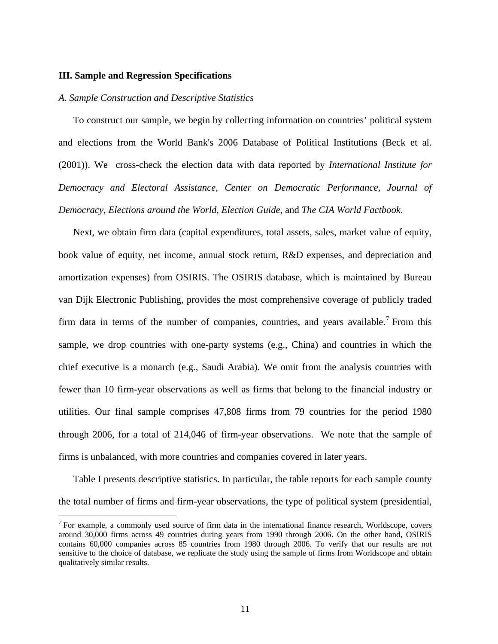#### **III. Sample and Regression Specifications**

 $\overline{a}$ 

#### *A. Sample Construction and Descriptive Statistics*

To construct our sample, we begin by collecting information on countries' political system and elections from the World Bank's 2006 Database of Political Institutions (Beck et al. (2001)). We cross-check the election data with data reported by *International Institute for Democracy and Electoral Assistance*, *Center on Democratic Performance*, *Journal of Democracy, Elections around the World*, *Election Guide*, and *The CIA World Factbook*.

Next, we obtain firm data (capital expenditures, total assets, sales, market value of equity, book value of equity, net income, annual stock return, R&D expenses, and depreciation and amortization expenses) from OSIRIS. The OSIRIS database, which is maintained by Bureau van Dijk Electronic Publishing, provides the most comprehensive coverage of publicly traded firm data in terms of the number of companies, countries, and years available.<sup>7</sup> From this sample, we drop countries with one-party systems (e.g., China) and countries in which the chief executive is a monarch (e.g., Saudi Arabia). We omit from the analysis countries with fewer than 10 firm-year observations as well as firms that belong to the financial industry or utilities. Our final sample comprises 47,808 firms from 79 countries for the period 1980 through 2006, for a total of 214,046 of firm-year observations. We note that the sample of firms is unbalanced, with more countries and companies covered in later years.

Table I presents descriptive statistics. In particular, the table reports for each sample county the total number of firms and firm-year observations, the type of political system (presidential,

 $<sup>7</sup>$  For example, a commonly used source of firm data in the international finance research, Worldscope, covers</sup> around 30,000 firms across 49 countries during years from 1990 through 2006. On the other hand, OSIRIS contains 60,000 companies across 85 countries from 1980 through 2006. To verify that our results are not sensitive to the choice of database, we replicate the study using the sample of firms from Worldscope and obtain qualitatively similar results.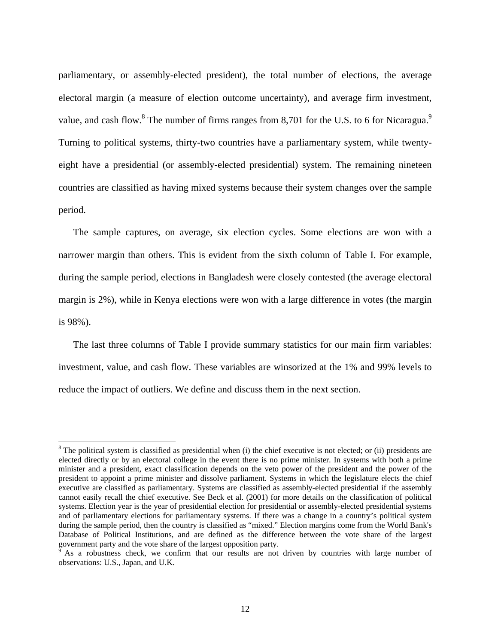parliamentary, or assembly-elected president), the total number of elections, the average electoral margin (a measure of election outcome uncertainty), and average firm investment, value, and cash flow. <sup>8</sup> The number of firms ranges from 8,701 for the U.S. to 6 for Nicaragua.<sup>9</sup> Turning to political systems, thirty-two countries have a parliamentary system, while twentyeight have a presidential (or assembly-elected presidential) system. The remaining nineteen countries are classified as having mixed systems because their system changes over the sample period.

The sample captures, on average, six election cycles. Some elections are won with a narrower margin than others. This is evident from the sixth column of Table I. For example, during the sample period, elections in Bangladesh were closely contested (the average electoral margin is 2%), while in Kenya elections were won with a large difference in votes (the margin is 98%).

The last three columns of Table I provide summary statistics for our main firm variables: investment, value, and cash flow. These variables are winsorized at the 1% and 99% levels to reduce the impact of outliers. We define and discuss them in the next section.

1

 $8$  The political system is classified as presidential when (i) the chief executive is not elected; or (ii) presidents are elected directly or by an electoral college in the event there is no prime minister. In systems with both a prime minister and a president, exact classification depends on the veto power of the president and the power of the president to appoint a prime minister and dissolve parliament. Systems in which the legislature elects the chief executive are classified as parliamentary. Systems are classified as assembly-elected presidential if the assembly cannot easily recall the chief executive. See Beck et al. (2001) for more details on the classification of political systems. Election year is the year of presidential election for presidential or assembly-elected presidential systems and of parliamentary elections for parliamentary systems. If there was a change in a country's political system during the sample period, then the country is classified as "mixed." Election margins come from the World Bank's Database of Political Institutions, and are defined as the difference between the vote share of the largest government party and the vote share of the largest opposition party.

 $9$  As a robustness check, we confirm that our results are not driven by countries with large number of observations: U.S., Japan, and U.K.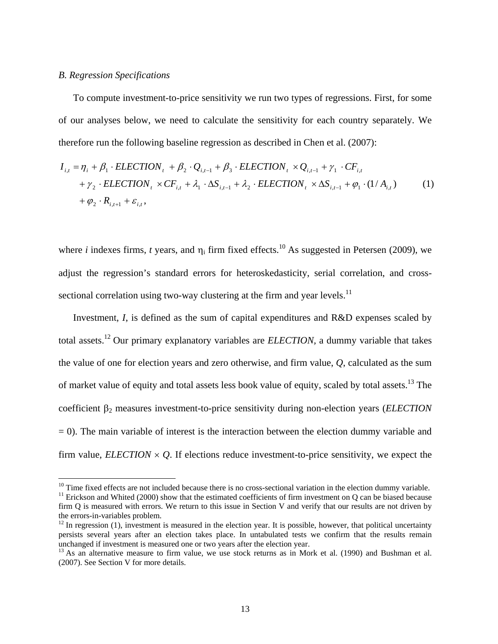#### *B. Regression Specifications*

 $\overline{a}$ 

To compute investment-to-price sensitivity we run two types of regressions. First, for some of our analyses below, we need to calculate the sensitivity for each country separately. We therefore run the following baseline regression as described in Chen et al. (2007):

$$
I_{i,t} = \eta_i + \beta_1 \cdot ELECTION_t + \beta_2 \cdot Q_{i,t-1} + \beta_3 \cdot ELECTION_t \times Q_{i,t-1} + \gamma_1 \cdot CF_{i,t} + \gamma_2 \cdot ELECTION_t \times CF_{i,t} + \lambda_1 \cdot \Delta S_{i,t-1} + \lambda_2 \cdot ELECTION_t \times \Delta S_{i,t-1} + \varphi_1 \cdot (1/A_{i,t})
$$
 (1)  
+  $\varphi_2 \cdot R_{i,t+1} + \varepsilon_{i,t}$ ,

where *i* indexes firms, *t* years, and  $\eta_i$  firm fixed effects.<sup>10</sup> As suggested in Petersen (2009), we adjust the regression's standard errors for heteroskedasticity, serial correlation, and crosssectional correlation using two-way clustering at the firm and year levels.<sup>11</sup>

Investment, *I*, is defined as the sum of capital expenditures and R&D expenses scaled by total assets.12 Our primary explanatory variables are *ELECTION,* a dummy variable that takes the value of one for election years and zero otherwise, and firm value, *Q*, calculated as the sum of market value of equity and total assets less book value of equity, scaled by total assets.13 The coefficient  $\beta_2$  measures investment-to-price sensitivity during non-election years (*ELECTION*  $= 0$ ). The main variable of interest is the interaction between the election dummy variable and firm value,  $ELECTION \times O$ . If elections reduce investment-to-price sensitivity, we expect the

<sup>&</sup>lt;sup>10</sup> Time fixed effects are not included because there is no cross-sectional variation in the election dummy variable.<br><sup>11</sup> Erickson and Whited (2000) show that the estimated coefficients of firm investment on Q can be bi firm Q is measured with errors. We return to this issue in Section V and verify that our results are not driven by the errors-in-variables problem.

 $12$  In regression (1), investment is measured in the election year. It is possible, however, that political uncertainty persists several years after an election takes place. In untabulated tests we confirm that the results remain unchanged if investment is measured one or two years after the election year.

 $13$  As an alternative measure to firm value, we use stock returns as in Mork et al. (1990) and Bushman et al. (2007). See Section V for more details.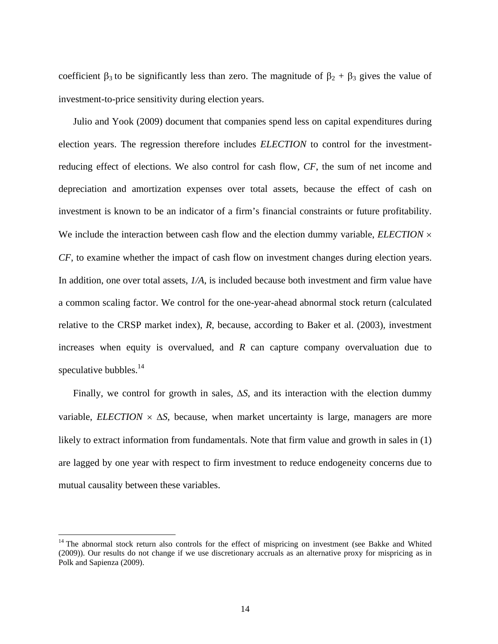coefficient  $\beta_3$  to be significantly less than zero. The magnitude of  $\beta_2 + \beta_3$  gives the value of investment-to-price sensitivity during election years.

Julio and Yook (2009) document that companies spend less on capital expenditures during election years. The regression therefore includes *ELECTION* to control for the investmentreducing effect of elections. We also control for cash flow, *CF*, the sum of net income and depreciation and amortization expenses over total assets, because the effect of cash on investment is known to be an indicator of a firm's financial constraints or future profitability. We include the interaction between cash flow and the election dummy variable, *ELECTION*  $\times$ *CF*, to examine whether the impact of cash flow on investment changes during election years. In addition, one over total assets, *1/A*, is included because both investment and firm value have a common scaling factor. We control for the one-year-ahead abnormal stock return (calculated relative to the CRSP market index), *R*, because, according to Baker et al. (2003), investment increases when equity is overvalued, and *R* can capture company overvaluation due to speculative bubbles. $^{14}$ 

Finally, we control for growth in sales,  $\Delta S$ , and its interaction with the election dummy variable, *ELECTION*  $\times$   $\Delta S$ , because, when market uncertainty is large, managers are more likely to extract information from fundamentals. Note that firm value and growth in sales in (1) are lagged by one year with respect to firm investment to reduce endogeneity concerns due to mutual causality between these variables.

<sup>&</sup>lt;sup>14</sup> The abnormal stock return also controls for the effect of mispricing on investment (see Bakke and Whited (2009)). Our results do not change if we use discretionary accruals as an alternative proxy for mispricing as in Polk and Sapienza (2009).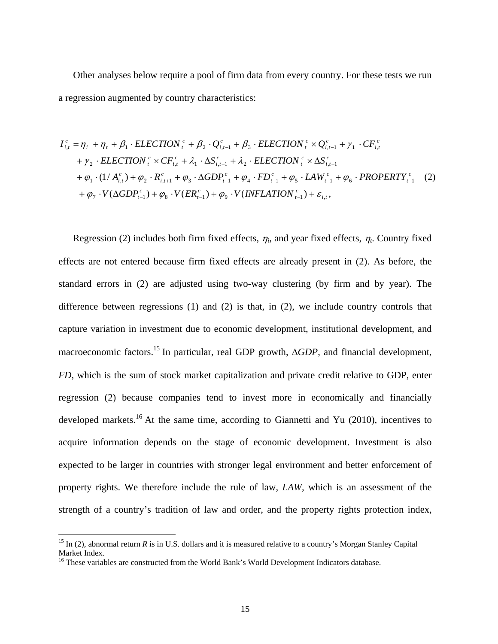Other analyses below require a pool of firm data from every country. For these tests we run a regression augmented by country characteristics:

$$
I_{i,t}^{c} = \eta_{i} + \eta_{t} + \beta_{1} \cdot ELECTION_{t}^{c} + \beta_{2} \cdot Q_{i,t-1}^{c} + \beta_{3} \cdot ELECTION_{t}^{c} \times Q_{i,t-1}^{c} + \gamma_{1} \cdot CF_{i,t}^{c} + \gamma_{2} \cdot ELECTION_{t}^{c} \times CF_{i,t}^{c} + \lambda_{1} \cdot \Delta S_{i,t-1}^{c} + \lambda_{2} \cdot ELECTION_{t}^{c} \times \Delta S_{i,t-1}^{c} + \varphi_{1} \cdot (1/A_{i,t}^{c}) + \varphi_{2} \cdot R_{i,t+1}^{c} + \varphi_{3} \cdot \Delta GDP_{t-1}^{c} + \varphi_{4} \cdot FD_{t-1}^{c} + \varphi_{5} \cdot LAW_{t-1}^{c} + \varphi_{6} \cdot PROPERTIES_{t-1}^{c}
$$
 (2)  
+  $\varphi_{7} \cdot V(\Delta GDP_{t-1}^{c}) + \varphi_{8} \cdot V(ER_{t-1}^{c}) + \varphi_{9} \cdot V(INFLATION_{t-1}^{c}) + \varepsilon_{i,t}$ ,

Regression (2) includes both firm fixed effects,  $\eta_i$ , and year fixed effects,  $\eta_t$ . Country fixed effects are not entered because firm fixed effects are already present in (2). As before, the standard errors in (2) are adjusted using two-way clustering (by firm and by year). The difference between regressions  $(1)$  and  $(2)$  is that, in  $(2)$ , we include country controls that capture variation in investment due to economic development, institutional development, and macroeconomic factors.<sup>15</sup> In particular, real GDP growth,  $\triangle GDP$ , and financial development, *FD*, which is the sum of stock market capitalization and private credit relative to GDP, enter regression (2) because companies tend to invest more in economically and financially developed markets.<sup>16</sup> At the same time, according to Giannetti and Yu (2010), incentives to acquire information depends on the stage of economic development. Investment is also expected to be larger in countries with stronger legal environment and better enforcement of property rights. We therefore include the rule of law, *LAW,* which is an assessment of the strength of a country's tradition of law and order, and the property rights protection index,

1

<sup>&</sup>lt;sup>15</sup> In (2), abnormal return *R* is in U.S. dollars and it is measured relative to a country's Morgan Stanley Capital Market Index.

<sup>&</sup>lt;sup>16</sup> These variables are constructed from the World Bank's World Development Indicators database.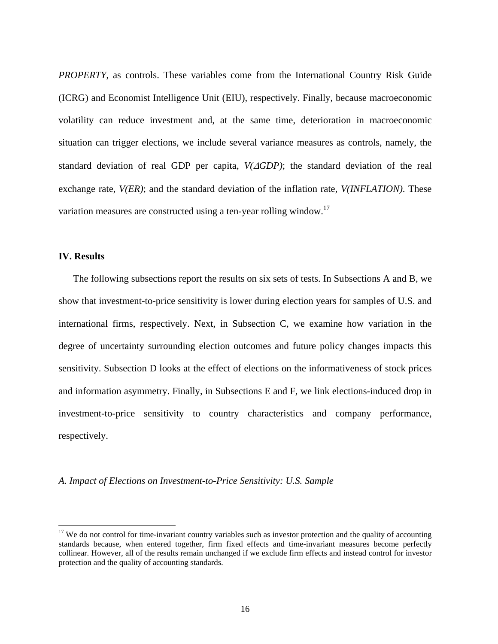*PROPERTY*, as controls. These variables come from the International Country Risk Guide (ICRG) and Economist Intelligence Unit (EIU), respectively. Finally, because macroeconomic volatility can reduce investment and, at the same time, deterioration in macroeconomic situation can trigger elections, we include several variance measures as controls, namely, the standard deviation of real GDP per capita, *V(GDP)*; the standard deviation of the real exchange rate, *V(ER)*; and the standard deviation of the inflation rate, *V(INFLATION)*. These variation measures are constructed using a ten-year rolling window.<sup>17</sup>

## **IV. Results**

 $\overline{a}$ 

The following subsections report the results on six sets of tests. In Subsections A and B, we show that investment-to-price sensitivity is lower during election years for samples of U.S. and international firms, respectively. Next, in Subsection C, we examine how variation in the degree of uncertainty surrounding election outcomes and future policy changes impacts this sensitivity. Subsection D looks at the effect of elections on the informativeness of stock prices and information asymmetry. Finally, in Subsections E and F, we link elections-induced drop in investment-to-price sensitivity to country characteristics and company performance, respectively.

*A. Impact of Elections on Investment-to-Price Sensitivity: U.S. Sample*

 $17$  We do not control for time-invariant country variables such as investor protection and the quality of accounting standards because, when entered together, firm fixed effects and time-invariant measures become perfectly collinear. However, all of the results remain unchanged if we exclude firm effects and instead control for investor protection and the quality of accounting standards.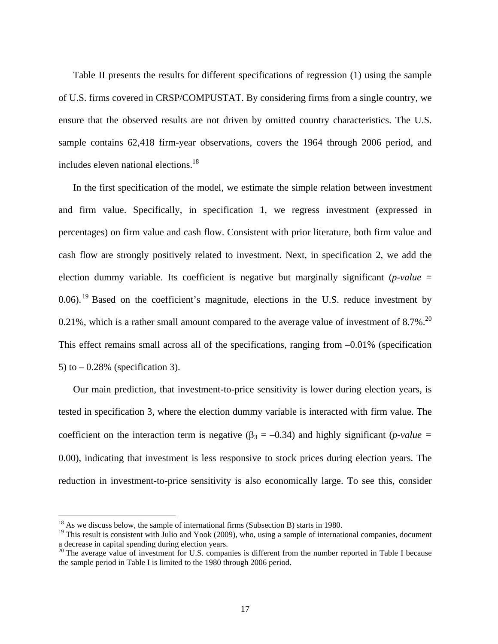Table II presents the results for different specifications of regression (1) using the sample of U.S. firms covered in CRSP/COMPUSTAT. By considering firms from a single country, we ensure that the observed results are not driven by omitted country characteristics. The U.S. sample contains 62,418 firm-year observations, covers the 1964 through 2006 period, and includes eleven national elections.<sup>18</sup>

In the first specification of the model, we estimate the simple relation between investment and firm value. Specifically, in specification 1, we regress investment (expressed in percentages) on firm value and cash flow. Consistent with prior literature, both firm value and cash flow are strongly positively related to investment. Next, in specification 2, we add the election dummy variable. Its coefficient is negative but marginally significant (*p-value* =  $0.06$ .<sup>19</sup> Based on the coefficient's magnitude, elections in the U.S. reduce investment by 0.21%, which is a rather small amount compared to the average value of investment of  $8.7\%$ <sup>20</sup> This effect remains small across all of the specifications, ranging from –0.01% (specification 5) to  $-0.28\%$  (specification 3).

Our main prediction, that investment-to-price sensitivity is lower during election years, is tested in specification 3, where the election dummy variable is interacted with firm value. The coefficient on the interaction term is negative  $(\beta_3 = -0.34)$  and highly significant (*p-value =* 0.00), indicating that investment is less responsive to stock prices during election years. The reduction in investment-to-price sensitivity is also economically large. To see this, consider

 $18$  As we discuss below, the sample of international firms (Subsection B) starts in 1980.

 $19$  This result is consistent with Julio and Yook (2009), who, using a sample of international companies, document a decrease in capital spending during election years.

<sup>&</sup>lt;sup>20</sup> The average value of investment for U.S. companies is different from the number reported in Table I because the sample period in Table I is limited to the 1980 through 2006 period.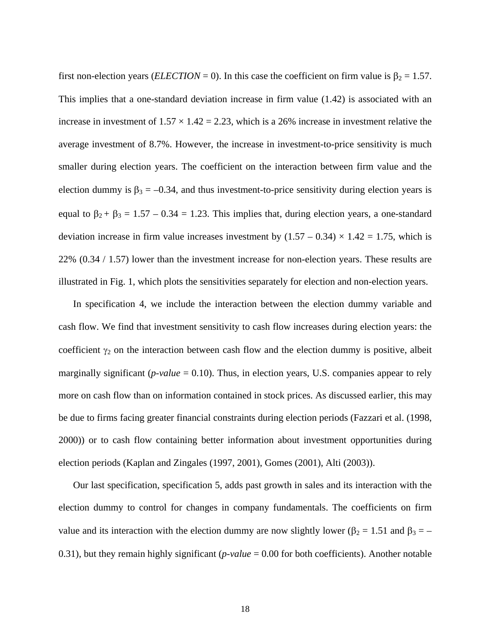first non-election years (*ELECTION* = 0). In this case the coefficient on firm value is  $\beta_2 = 1.57$ . This implies that a one-standard deviation increase in firm value (1.42) is associated with an increase in investment of  $1.57 \times 1.42 = 2.23$ , which is a 26% increase in investment relative the average investment of 8.7%. However, the increase in investment-to-price sensitivity is much smaller during election years. The coefficient on the interaction between firm value and the election dummy is  $\beta_3 = -0.34$ , and thus investment-to-price sensitivity during election years is equal to  $\beta_2 + \beta_3 = 1.57 - 0.34 = 1.23$ . This implies that, during election years, a one-standard deviation increase in firm value increases investment by  $(1.57 - 0.34) \times 1.42 = 1.75$ , which is 22% (0.34 / 1.57) lower than the investment increase for non-election years. These results are illustrated in Fig. 1, which plots the sensitivities separately for election and non-election years.

In specification 4, we include the interaction between the election dummy variable and cash flow. We find that investment sensitivity to cash flow increases during election years: the coefficient  $\gamma_2$  on the interaction between cash flow and the election dummy is positive, albeit marginally significant (*p-value* = 0.10). Thus, in election years, U.S. companies appear to rely more on cash flow than on information contained in stock prices. As discussed earlier, this may be due to firms facing greater financial constraints during election periods (Fazzari et al. (1998, 2000)) or to cash flow containing better information about investment opportunities during election periods (Kaplan and Zingales (1997, 2001), Gomes (2001), Alti (2003)).

Our last specification, specification 5, adds past growth in sales and its interaction with the election dummy to control for changes in company fundamentals. The coefficients on firm value and its interaction with the election dummy are now slightly lower ( $\beta_2 = 1.51$  and  $\beta_3 = -$ 0.31), but they remain highly significant (*p-value* = 0.00 for both coefficients). Another notable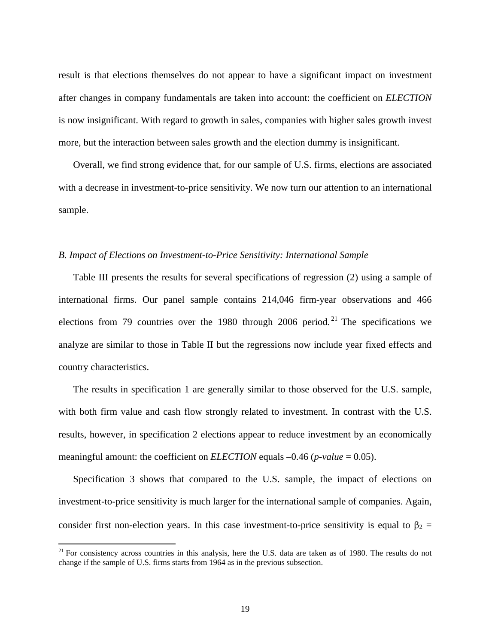result is that elections themselves do not appear to have a significant impact on investment after changes in company fundamentals are taken into account: the coefficient on *ELECTION* is now insignificant. With regard to growth in sales, companies with higher sales growth invest more, but the interaction between sales growth and the election dummy is insignificant.

Overall, we find strong evidence that, for our sample of U.S. firms, elections are associated with a decrease in investment-to-price sensitivity. We now turn our attention to an international sample.

#### *B. Impact of Elections on Investment-to-Price Sensitivity: International Sample*

Table III presents the results for several specifications of regression (2) using a sample of international firms. Our panel sample contains 214,046 firm-year observations and 466 elections from 79 countries over the 1980 through 2006 period.<sup>21</sup> The specifications we analyze are similar to those in Table II but the regressions now include year fixed effects and country characteristics.

The results in specification 1 are generally similar to those observed for the U.S. sample, with both firm value and cash flow strongly related to investment. In contrast with the U.S. results, however, in specification 2 elections appear to reduce investment by an economically meaningful amount: the coefficient on *ELECTION* equals –0.46 (*p-value* = 0.05).

Specification 3 shows that compared to the U.S. sample, the impact of elections on investment-to-price sensitivity is much larger for the international sample of companies. Again, consider first non-election years. In this case investment-to-price sensitivity is equal to  $\beta_2$  =

 $21$  For consistency across countries in this analysis, here the U.S. data are taken as of 1980. The results do not change if the sample of U.S. firms starts from 1964 as in the previous subsection.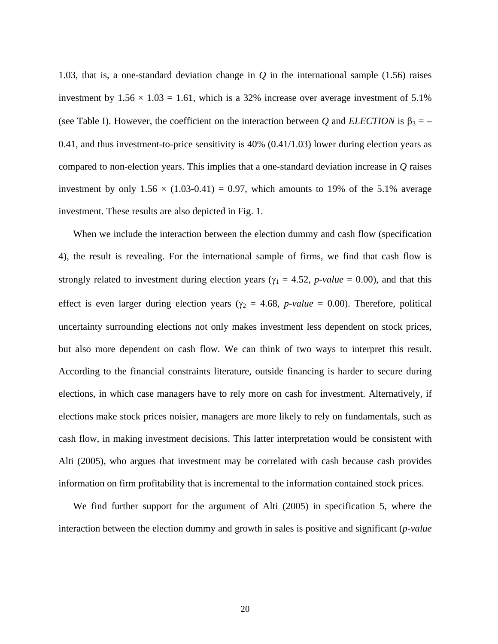1.03, that is, a one-standard deviation change in *Q* in the international sample (1.56) raises investment by  $1.56 \times 1.03 = 1.61$ , which is a 32% increase over average investment of 5.1% (see Table I). However, the coefficient on the interaction between *Q* and *ELECTION* is  $\beta_3 = -$ 0.41, and thus investment-to-price sensitivity is 40% (0.41/1.03) lower during election years as compared to non-election years. This implies that a one-standard deviation increase in *Q* raises investment by only  $1.56 \times (1.03{\text -}0.41) = 0.97$ , which amounts to 19% of the 5.1% average investment. These results are also depicted in Fig. 1.

When we include the interaction between the election dummy and cash flow (specification 4), the result is revealing. For the international sample of firms, we find that cash flow is strongly related to investment during election years ( $\gamma_1 = 4.52$ , *p-value* = 0.00), and that this effect is even larger during election years ( $\gamma_2 = 4.68$ , *p-value* = 0.00). Therefore, political uncertainty surrounding elections not only makes investment less dependent on stock prices, but also more dependent on cash flow. We can think of two ways to interpret this result. According to the financial constraints literature, outside financing is harder to secure during elections, in which case managers have to rely more on cash for investment. Alternatively, if elections make stock prices noisier, managers are more likely to rely on fundamentals, such as cash flow, in making investment decisions. This latter interpretation would be consistent with Alti (2005), who argues that investment may be correlated with cash because cash provides information on firm profitability that is incremental to the information contained stock prices.

We find further support for the argument of Alti (2005) in specification 5, where the interaction between the election dummy and growth in sales is positive and significant (*p-value*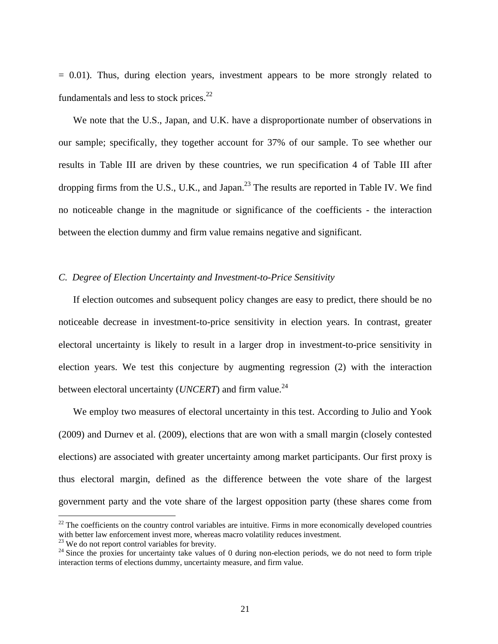$= 0.01$ ). Thus, during election years, investment appears to be more strongly related to fundamentals and less to stock prices. $^{22}$ 

We note that the U.S., Japan, and U.K. have a disproportionate number of observations in our sample; specifically, they together account for 37% of our sample. To see whether our results in Table III are driven by these countries, we run specification 4 of Table III after dropping firms from the U.S., U.K., and Japan.<sup>23</sup> The results are reported in Table IV. We find no noticeable change in the magnitude or significance of the coefficients - the interaction between the election dummy and firm value remains negative and significant.

#### *C. Degree of Election Uncertainty and Investment-to-Price Sensitivity*

If election outcomes and subsequent policy changes are easy to predict, there should be no noticeable decrease in investment-to-price sensitivity in election years. In contrast, greater electoral uncertainty is likely to result in a larger drop in investment-to-price sensitivity in election years. We test this conjecture by augmenting regression (2) with the interaction between electoral uncertainty (*UNCERT*) and firm value.<sup>24</sup>

We employ two measures of electoral uncertainty in this test. According to Julio and Yook (2009) and Durnev et al. (2009), elections that are won with a small margin (closely contested elections) are associated with greater uncertainty among market participants. Our first proxy is thus electoral margin, defined as the difference between the vote share of the largest government party and the vote share of the largest opposition party (these shares come from

 $22$  The coefficients on the country control variables are intuitive. Firms in more economically developed countries with better law enforcement invest more, whereas macro volatility reduces investment.

<sup>&</sup>lt;sup>23</sup> We do not report control variables for brevity.

 $24$  Since the proxies for uncertainty take values of 0 during non-election periods, we do not need to form triple interaction terms of elections dummy, uncertainty measure, and firm value.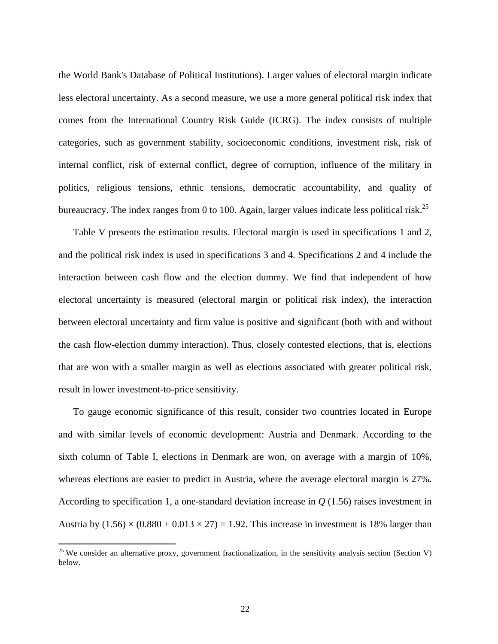the World Bank's Database of Political Institutions). Larger values of electoral margin indicate less electoral uncertainty. As a second measure, we use a more general political risk index that comes from the International Country Risk Guide (ICRG). The index consists of multiple categories, such as government stability, socioeconomic conditions, investment risk, risk of internal conflict, risk of external conflict, degree of corruption, influence of the military in politics, religious tensions, ethnic tensions, democratic accountability, and quality of bureaucracy. The index ranges from 0 to 100. Again, larger values indicate less political risk.<sup>25</sup>

Table V presents the estimation results. Electoral margin is used in specifications 1 and 2, and the political risk index is used in specifications 3 and 4. Specifications 2 and 4 include the interaction between cash flow and the election dummy. We find that independent of how electoral uncertainty is measured (electoral margin or political risk index), the interaction between electoral uncertainty and firm value is positive and significant (both with and without the cash flow-election dummy interaction). Thus, closely contested elections, that is, elections that are won with a smaller margin as well as elections associated with greater political risk, result in lower investment-to-price sensitivity.

To gauge economic significance of this result, consider two countries located in Europe and with similar levels of economic development: Austria and Denmark. According to the sixth column of Table I, elections in Denmark are won, on average with a margin of 10%, whereas elections are easier to predict in Austria, where the average electoral margin is 27%. According to specification 1, a one-standard deviation increase in *Q* (1.56) raises investment in Austria by  $(1.56) \times (0.880 + 0.013 \times 27) = 1.92$ . This increase in investment is 18% larger than

 $^{25}$  We consider an alternative proxy, government fractionalization, in the sensitivity analysis section (Section V) below.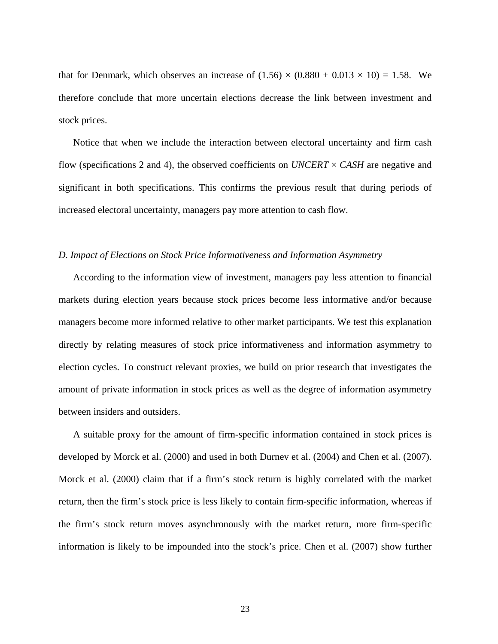that for Denmark, which observes an increase of  $(1.56) \times (0.880 + 0.013 \times 10) = 1.58$ . We therefore conclude that more uncertain elections decrease the link between investment and stock prices.

Notice that when we include the interaction between electoral uncertainty and firm cash flow (specifications 2 and 4), the observed coefficients on *UNCERT* × *CASH* are negative and significant in both specifications. This confirms the previous result that during periods of increased electoral uncertainty, managers pay more attention to cash flow.

#### *D. Impact of Elections on Stock Price Informativeness and Information Asymmetry*

According to the information view of investment, managers pay less attention to financial markets during election years because stock prices become less informative and/or because managers become more informed relative to other market participants. We test this explanation directly by relating measures of stock price informativeness and information asymmetry to election cycles. To construct relevant proxies, we build on prior research that investigates the amount of private information in stock prices as well as the degree of information asymmetry between insiders and outsiders.

A suitable proxy for the amount of firm-specific information contained in stock prices is developed by Morck et al. (2000) and used in both Durnev et al. (2004) and Chen et al. (2007). Morck et al. (2000) claim that if a firm's stock return is highly correlated with the market return, then the firm's stock price is less likely to contain firm-specific information, whereas if the firm's stock return moves asynchronously with the market return, more firm-specific information is likely to be impounded into the stock's price. Chen et al. (2007) show further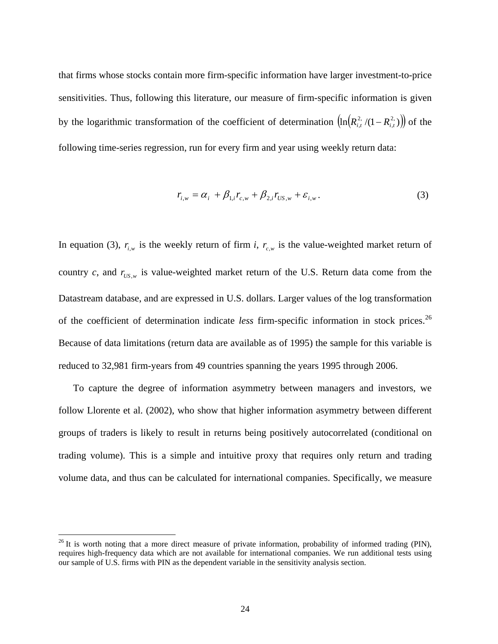that firms whose stocks contain more firm-specific information have larger investment-to-price sensitivities. Thus, following this literature, our measure of firm-specific information is given by the logarithmic transformation of the coefficient of determination  $\left(\ln (R_{i,t}^2/(1 - R_{i,t}^2))\right)$  of the following time-series regression, run for every firm and year using weekly return data:

$$
r_{i,w} = \alpha_i + \beta_{1,i} r_{c,w} + \beta_{2,i} r_{US,w} + \varepsilon_{i,w}.
$$
 (3)

In equation (3),  $r_{i,w}$  is the weekly return of firm *i*,  $r_{i,w}$  is the value-weighted market return of country *c*, and  $r_{US, w}$  is value-weighted market return of the U.S. Return data come from the Datastream database, and are expressed in U.S. dollars. Larger values of the log transformation of the coefficient of determination indicate *less* firm-specific information in stock prices.<sup>26</sup> Because of data limitations (return data are available as of 1995) the sample for this variable is reduced to 32,981 firm-years from 49 countries spanning the years 1995 through 2006.

To capture the degree of information asymmetry between managers and investors, we follow Llorente et al. (2002), who show that higher information asymmetry between different groups of traders is likely to result in returns being positively autocorrelated (conditional on trading volume). This is a simple and intuitive proxy that requires only return and trading volume data, and thus can be calculated for international companies. Specifically, we measure

1

<sup>&</sup>lt;sup>26</sup> It is worth noting that a more direct measure of private information, probability of informed trading (PIN), requires high-frequency data which are not available for international companies. We run additional tests using our sample of U.S. firms with PIN as the dependent variable in the sensitivity analysis section.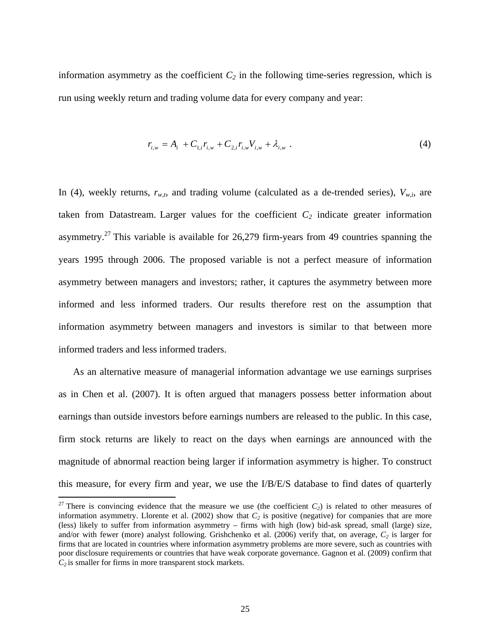information asymmetry as the coefficient  $C_2$  in the following time-series regression, which is run using weekly return and trading volume data for every company and year:

$$
r_{i,w} = A_i + C_{1,i}r_{i,w} + C_{2,i}r_{i,w}V_{i,w} + \lambda_{i,w} \tag{4}
$$

In (4), weekly returns,  $r_{w,t}$ , and trading volume (calculated as a de-trended series),  $V_{w,i}$ , are taken from Datastream. Larger values for the coefficient  $C_2$  indicate greater information asymmetry.<sup>27</sup> This variable is available for  $26,279$  firm-years from 49 countries spanning the years 1995 through 2006. The proposed variable is not a perfect measure of information asymmetry between managers and investors; rather, it captures the asymmetry between more informed and less informed traders. Our results therefore rest on the assumption that information asymmetry between managers and investors is similar to that between more informed traders and less informed traders.

As an alternative measure of managerial information advantage we use earnings surprises as in Chen et al. (2007). It is often argued that managers possess better information about earnings than outside investors before earnings numbers are released to the public. In this case, firm stock returns are likely to react on the days when earnings are announced with the magnitude of abnormal reaction being larger if information asymmetry is higher. To construct this measure, for every firm and year, we use the I/B/E/S database to find dates of quarterly

<sup>&</sup>lt;sup>27</sup> There is convincing evidence that the measure we use (the coefficient  $C_2$ ) is related to other measures of information asymmetry. Llorente et al. (2002) show that  $C_2$  is positive (negative) for companies that are more (less) likely to suffer from information asymmetry – firms with high (low) bid-ask spread, small (large) size, and/or with fewer (more) analyst following. Grishchenko et al.  $(2006)$  verify that, on average,  $C_2$  is larger for firms that are located in countries where information asymmetry problems are more severe, such as countries with poor disclosure requirements or countries that have weak corporate governance. Gagnon et al. (2009) confirm that *C2* is smaller for firms in more transparent stock markets.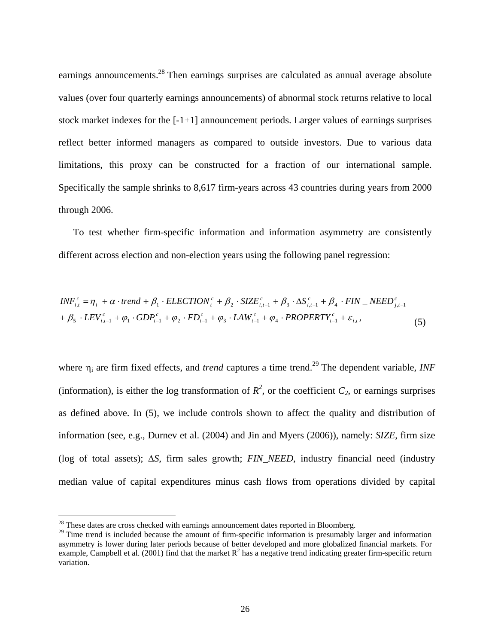earnings announcements.<sup>28</sup> Then earnings surprises are calculated as annual average absolute values (over four quarterly earnings announcements) of abnormal stock returns relative to local stock market indexes for the [-1+1] announcement periods. Larger values of earnings surprises reflect better informed managers as compared to outside investors. Due to various data limitations, this proxy can be constructed for a fraction of our international sample. Specifically the sample shrinks to 8,617 firm-years across 43 countries during years from 2000 through 2006.

To test whether firm-specific information and information asymmetry are consistently different across election and non-election years using the following panel regression:

$$
INF_{i,t}^c = \eta_i + \alpha \cdot trend + \beta_1 \cdot ELECTION_t^c + \beta_2 \cdot SIZE_{i,t-1}^c + \beta_3 \cdot \Delta S_{i,t-1}^c + \beta_4 \cdot FIN\_NEED_{j,t-1}^c
$$
  
+  $\beta_5 \cdot LEV_{i,t-1}^c + \varphi_1 \cdot GDP_{t-1}^c + \varphi_2 \cdot FD_{t-1}^c + \varphi_3 \cdot LAW_{t-1}^c + \varphi_4 \cdot PROPERTIES_{t-1}^c + \varepsilon_{i,t}$ , (5)

where  $\eta_i$  are firm fixed effects, and *trend* captures a time trend.<sup>29</sup> The dependent variable, *INF* (information), is either the log transformation of  $R^2$ , or the coefficient  $C_2$ , or earnings surprises as defined above. In (5), we include controls shown to affect the quality and distribution of information (see, e.g., Durnev et al. (2004) and Jin and Myers (2006)), namely: *SIZE*, firm size (log of total assets);  $\Delta S$ , firm sales growth;  $FIN$ <sub>NEED</sub>, industry financial need (industry median value of capital expenditures minus cash flows from operations divided by capital

 $28$  These dates are cross checked with earnings announcement dates reported in Bloomberg.

<sup>&</sup>lt;sup>29</sup> Time trend is included because the amount of firm-specific information is presumably larger and information asymmetry is lower during later periods because of better developed and more globalized financial markets. For example, Campbell et al. (2001) find that the market  $R^2$  has a negative trend indicating greater firm-specific return variation.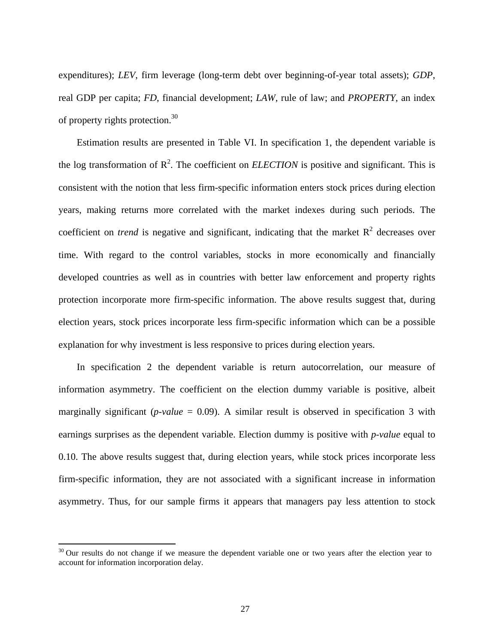expenditures); *LEV*, firm leverage (long-term debt over beginning-of-year total assets); *GDP*, real GDP per capita; *FD*, financial development; *LAW*, rule of law; and *PROPERTY*, an index of property rights protection.<sup>30</sup>

Estimation results are presented in Table VI. In specification 1, the dependent variable is the log transformation of  $\mathbb{R}^2$ . The coefficient on *ELECTION* is positive and significant. This is consistent with the notion that less firm-specific information enters stock prices during election years, making returns more correlated with the market indexes during such periods. The coefficient on *trend* is negative and significant, indicating that the market  $R^2$  decreases over time. With regard to the control variables, stocks in more economically and financially developed countries as well as in countries with better law enforcement and property rights protection incorporate more firm-specific information. The above results suggest that, during election years, stock prices incorporate less firm-specific information which can be a possible explanation for why investment is less responsive to prices during election years.

In specification 2 the dependent variable is return autocorrelation, our measure of information asymmetry. The coefficient on the election dummy variable is positive, albeit marginally significant ( $p$ -value = 0.09). A similar result is observed in specification 3 with earnings surprises as the dependent variable. Election dummy is positive with *p-value* equal to 0.10. The above results suggest that, during election years, while stock prices incorporate less firm-specific information, they are not associated with a significant increase in information asymmetry. Thus, for our sample firms it appears that managers pay less attention to stock

 $30$  Our results do not change if we measure the dependent variable one or two years after the election year to account for information incorporation delay.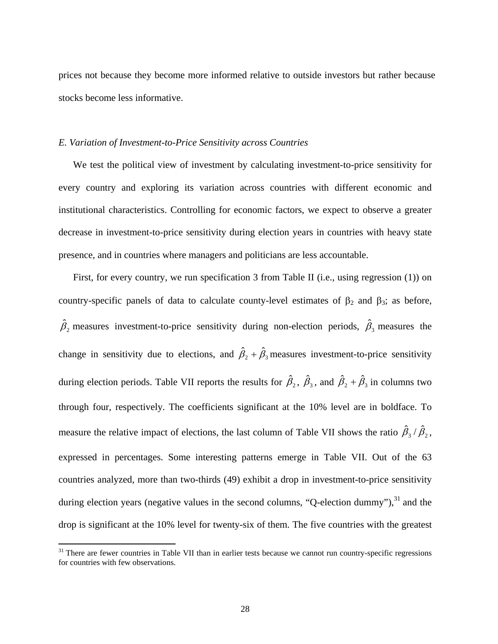prices not because they become more informed relative to outside investors but rather because stocks become less informative.

#### *E. Variation of Investment-to-Price Sensitivity across Countries*

We test the political view of investment by calculating investment-to-price sensitivity for every country and exploring its variation across countries with different economic and institutional characteristics. Controlling for economic factors, we expect to observe a greater decrease in investment-to-price sensitivity during election years in countries with heavy state presence, and in countries where managers and politicians are less accountable.

First, for every country, we run specification 3 from Table II (i.e., using regression (1)) on country-specific panels of data to calculate county-level estimates of  $\beta_2$  and  $\beta_3$ ; as before,  $\hat{\beta}_2$  measures investment-to-price sensitivity during non-election periods,  $\hat{\beta}_3$  measures the change in sensitivity due to elections, and  $\hat{\beta}_2 + \hat{\beta}_3$  measures investment-to-price sensitivity during election periods. Table VII reports the results for  $\hat{\beta}_2$ ,  $\hat{\beta}_3$ , and  $\hat{\beta}_2 + \hat{\beta}_3$  in columns two through four, respectively. The coefficients significant at the 10% level are in boldface. To measure the relative impact of elections, the last column of Table VII shows the ratio  $\hat{\beta}_3 / \hat{\beta}_2$ , expressed in percentages. Some interesting patterns emerge in Table VII. Out of the 63 countries analyzed, more than two-thirds (49) exhibit a drop in investment-to-price sensitivity during election years (negative values in the second columns, "Q-election dummy"), $31$  and the drop is significant at the 10% level for twenty-six of them. The five countries with the greatest

1

 $31$  There are fewer countries in Table VII than in earlier tests because we cannot run country-specific regressions for countries with few observations.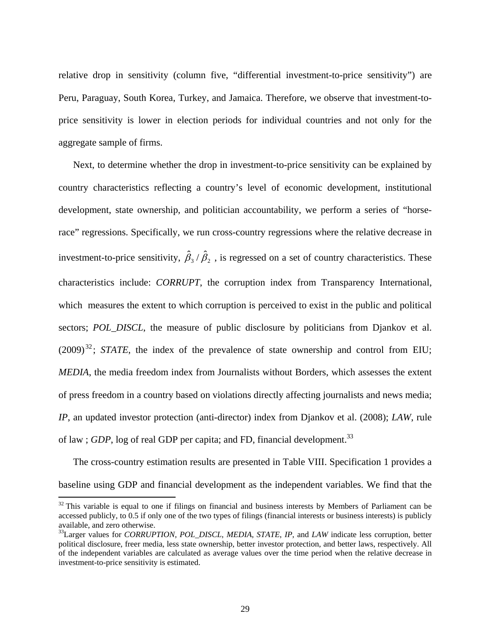relative drop in sensitivity (column five, "differential investment-to-price sensitivity") are Peru, Paraguay, South Korea, Turkey, and Jamaica. Therefore, we observe that investment-toprice sensitivity is lower in election periods for individual countries and not only for the aggregate sample of firms.

Next, to determine whether the drop in investment-to-price sensitivity can be explained by country characteristics reflecting a country's level of economic development, institutional development, state ownership, and politician accountability, we perform a series of "horserace" regressions. Specifically, we run cross-country regressions where the relative decrease in investment-to-price sensitivity,  $\hat{\beta}_3 / \hat{\beta}_2$ , is regressed on a set of country characteristics. These characteristics include: *CORRUPT*, the corruption index from Transparency International, which measures the extent to which corruption is perceived to exist in the public and political sectors; *POL\_DISCL*, the measure of public disclosure by politicians from Djankov et al.  $(2009)^{32}$ ; *STATE*, the index of the prevalence of state ownership and control from EIU; *MEDIA*, the media freedom index from Journalists without Borders, which assesses the extent of press freedom in a country based on violations directly affecting journalists and news media; *IP*, an updated investor protection (anti-director) index from Djankov et al. (2008); *LAW*, rule of law; *GDP*, log of real GDP per capita; and FD, financial development.<sup>33</sup>

The cross-country estimation results are presented in Table VIII. Specification 1 provides a baseline using GDP and financial development as the independent variables. We find that the

<u>.</u>

 $32$  This variable is equal to one if filings on financial and business interests by Members of Parliament can be accessed publicly, to 0.5 if only one of the two types of filings (financial interests or business interests) is publicly available, and zero otherwise.

<sup>33</sup>Larger values for *CORRUPTION*, *POL\_DISCL*, *MEDIA*, *STATE*, *IP*, and *LAW* indicate less corruption, better political disclosure, freer media, less state ownership, better investor protection, and better laws, respectively. All of the independent variables are calculated as average values over the time period when the relative decrease in investment-to-price sensitivity is estimated.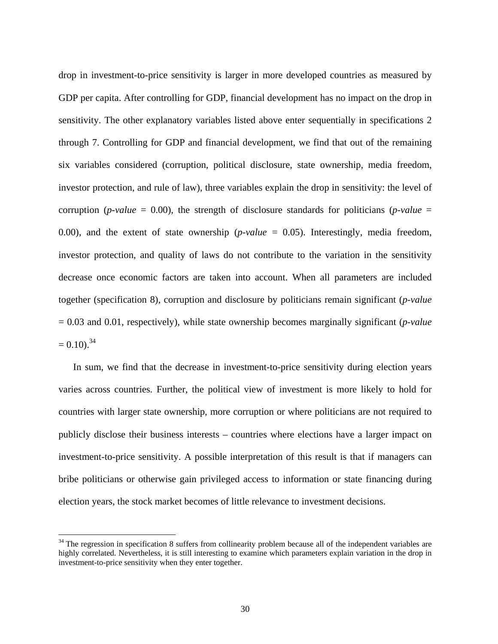drop in investment-to-price sensitivity is larger in more developed countries as measured by GDP per capita. After controlling for GDP, financial development has no impact on the drop in sensitivity. The other explanatory variables listed above enter sequentially in specifications 2 through 7. Controlling for GDP and financial development, we find that out of the remaining six variables considered (corruption, political disclosure, state ownership, media freedom, investor protection, and rule of law), three variables explain the drop in sensitivity: the level of corruption (*p-value* = 0.00), the strength of disclosure standards for politicians (*p-value* = 0.00), and the extent of state ownership (*p-value* = 0.05). Interestingly, media freedom, investor protection, and quality of laws do not contribute to the variation in the sensitivity decrease once economic factors are taken into account. When all parameters are included together (specification 8), corruption and disclosure by politicians remain significant (*p-value* = 0.03 and 0.01, respectively), while state ownership becomes marginally significant (*p-value*  $= 0.10$ .<sup>34</sup>

In sum, we find that the decrease in investment-to-price sensitivity during election years varies across countries. Further, the political view of investment is more likely to hold for countries with larger state ownership, more corruption or where politicians are not required to publicly disclose their business interests – countries where elections have a larger impact on investment-to-price sensitivity. A possible interpretation of this result is that if managers can bribe politicians or otherwise gain privileged access to information or state financing during election years, the stock market becomes of little relevance to investment decisions.

1

 $34$  The regression in specification 8 suffers from collinearity problem because all of the independent variables are highly correlated. Nevertheless, it is still interesting to examine which parameters explain variation in the drop in investment-to-price sensitivity when they enter together.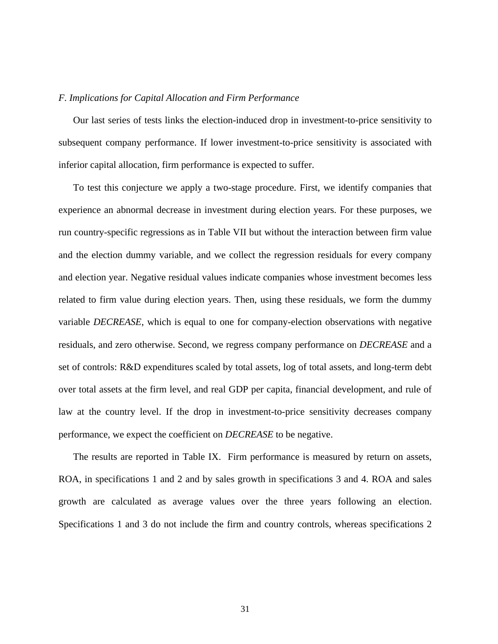#### *F. Implications for Capital Allocation and Firm Performance*

Our last series of tests links the election-induced drop in investment-to-price sensitivity to subsequent company performance. If lower investment-to-price sensitivity is associated with inferior capital allocation, firm performance is expected to suffer.

To test this conjecture we apply a two-stage procedure. First, we identify companies that experience an abnormal decrease in investment during election years. For these purposes, we run country-specific regressions as in Table VII but without the interaction between firm value and the election dummy variable, and we collect the regression residuals for every company and election year. Negative residual values indicate companies whose investment becomes less related to firm value during election years. Then, using these residuals, we form the dummy variable *DECREASE*, which is equal to one for company-election observations with negative residuals, and zero otherwise. Second, we regress company performance on *DECREASE* and a set of controls: R&D expenditures scaled by total assets, log of total assets, and long-term debt over total assets at the firm level, and real GDP per capita, financial development, and rule of law at the country level. If the drop in investment-to-price sensitivity decreases company performance, we expect the coefficient on *DECREASE* to be negative.

The results are reported in Table IX. Firm performance is measured by return on assets, ROA, in specifications 1 and 2 and by sales growth in specifications 3 and 4. ROA and sales growth are calculated as average values over the three years following an election. Specifications 1 and 3 do not include the firm and country controls, whereas specifications 2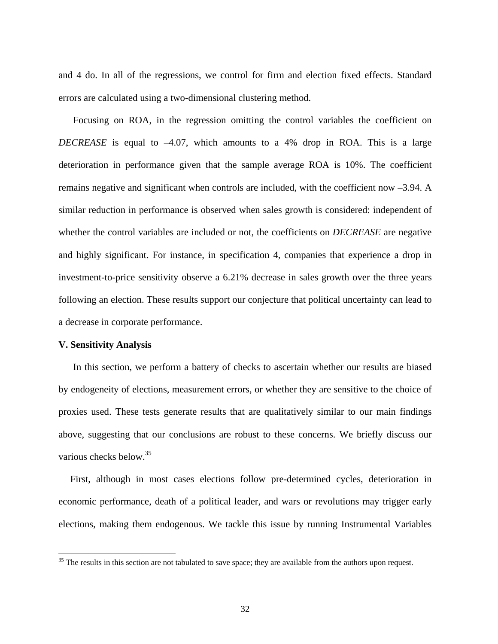and 4 do. In all of the regressions, we control for firm and election fixed effects. Standard errors are calculated using a two-dimensional clustering method.

Focusing on ROA, in the regression omitting the control variables the coefficient on *DECREASE* is equal to –4.07, which amounts to a 4% drop in ROA. This is a large deterioration in performance given that the sample average ROA is 10%. The coefficient remains negative and significant when controls are included, with the coefficient now –3.94. A similar reduction in performance is observed when sales growth is considered: independent of whether the control variables are included or not, the coefficients on *DECREASE* are negative and highly significant. For instance, in specification 4, companies that experience a drop in investment-to-price sensitivity observe a 6.21% decrease in sales growth over the three years following an election. These results support our conjecture that political uncertainty can lead to a decrease in corporate performance.

#### **V. Sensitivity Analysis**

 $\overline{a}$ 

In this section, we perform a battery of checks to ascertain whether our results are biased by endogeneity of elections, measurement errors, or whether they are sensitive to the choice of proxies used. These tests generate results that are qualitatively similar to our main findings above, suggesting that our conclusions are robust to these concerns. We briefly discuss our various checks below.<sup>35</sup>

First, although in most cases elections follow pre-determined cycles, deterioration in economic performance, death of a political leader, and wars or revolutions may trigger early elections, making them endogenous. We tackle this issue by running Instrumental Variables

<sup>&</sup>lt;sup>35</sup> The results in this section are not tabulated to save space; they are available from the authors upon request.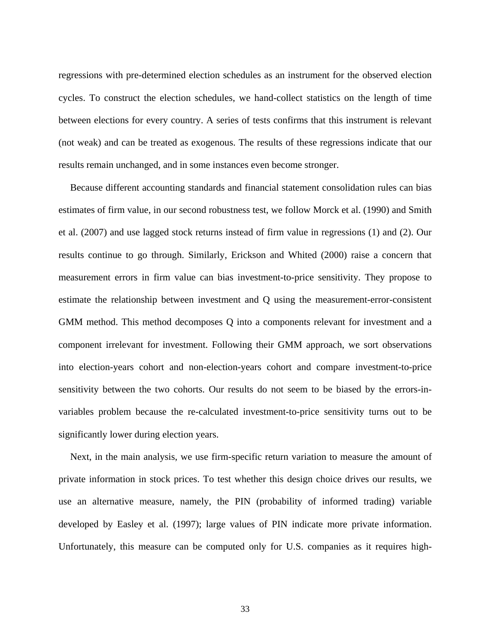regressions with pre-determined election schedules as an instrument for the observed election cycles. To construct the election schedules, we hand-collect statistics on the length of time between elections for every country. A series of tests confirms that this instrument is relevant (not weak) and can be treated as exogenous. The results of these regressions indicate that our results remain unchanged, and in some instances even become stronger.

Because different accounting standards and financial statement consolidation rules can bias estimates of firm value, in our second robustness test, we follow Morck et al. (1990) and Smith et al. (2007) and use lagged stock returns instead of firm value in regressions (1) and (2). Our results continue to go through. Similarly, Erickson and Whited (2000) raise a concern that measurement errors in firm value can bias investment-to-price sensitivity. They propose to estimate the relationship between investment and Q using the measurement-error-consistent GMM method. This method decomposes Q into a components relevant for investment and a component irrelevant for investment. Following their GMM approach, we sort observations into election-years cohort and non-election-years cohort and compare investment-to-price sensitivity between the two cohorts. Our results do not seem to be biased by the errors-invariables problem because the re-calculated investment-to-price sensitivity turns out to be significantly lower during election years.

Next, in the main analysis, we use firm-specific return variation to measure the amount of private information in stock prices. To test whether this design choice drives our results, we use an alternative measure, namely, the PIN (probability of informed trading) variable developed by Easley et al. (1997); large values of PIN indicate more private information. Unfortunately, this measure can be computed only for U.S. companies as it requires high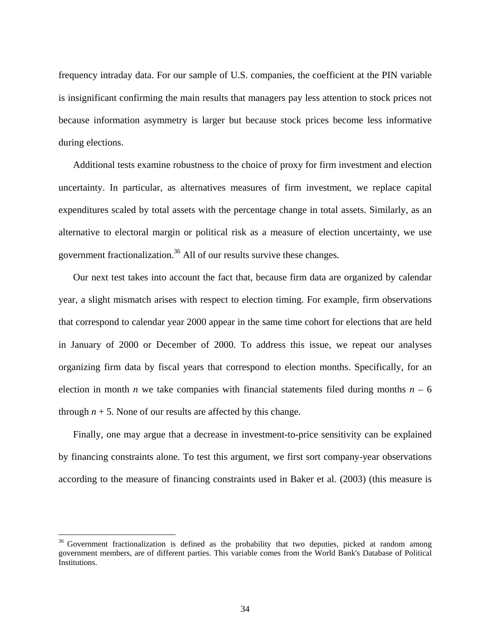frequency intraday data. For our sample of U.S. companies, the coefficient at the PIN variable is insignificant confirming the main results that managers pay less attention to stock prices not because information asymmetry is larger but because stock prices become less informative during elections.

Additional tests examine robustness to the choice of proxy for firm investment and election uncertainty. In particular, as alternatives measures of firm investment, we replace capital expenditures scaled by total assets with the percentage change in total assets. Similarly, as an alternative to electoral margin or political risk as a measure of election uncertainty, we use government fractionalization.36 All of our results survive these changes.

Our next test takes into account the fact that, because firm data are organized by calendar year, a slight mismatch arises with respect to election timing. For example, firm observations that correspond to calendar year 2000 appear in the same time cohort for elections that are held in January of 2000 or December of 2000. To address this issue, we repeat our analyses organizing firm data by fiscal years that correspond to election months. Specifically, for an election in month *n* we take companies with financial statements filed during months  $n - 6$ through  $n + 5$ . None of our results are affected by this change.

Finally, one may argue that a decrease in investment-to-price sensitivity can be explained by financing constraints alone. To test this argument, we first sort company-year observations according to the measure of financing constraints used in Baker et al. (2003) (this measure is

1

<sup>&</sup>lt;sup>36</sup> Government fractionalization is defined as the probability that two deputies, picked at random among government members, are of different parties. This variable comes from the World Bank's Database of Political Institutions.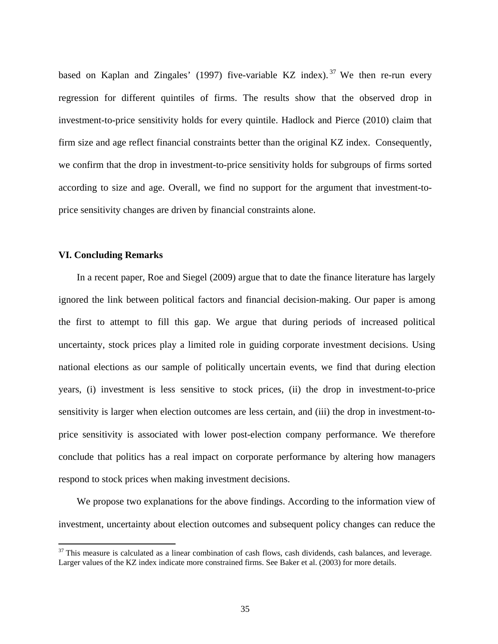based on Kaplan and Zingales' (1997) five-variable KZ index).<sup>37</sup> We then re-run every regression for different quintiles of firms. The results show that the observed drop in investment-to-price sensitivity holds for every quintile. Hadlock and Pierce (2010) claim that firm size and age reflect financial constraints better than the original KZ index. Consequently, we confirm that the drop in investment-to-price sensitivity holds for subgroups of firms sorted according to size and age. Overall, we find no support for the argument that investment-toprice sensitivity changes are driven by financial constraints alone.

#### **VI. Concluding Remarks**

 $\overline{a}$ 

In a recent paper, Roe and Siegel (2009) argue that to date the finance literature has largely ignored the link between political factors and financial decision-making. Our paper is among the first to attempt to fill this gap. We argue that during periods of increased political uncertainty, stock prices play a limited role in guiding corporate investment decisions. Using national elections as our sample of politically uncertain events, we find that during election years, (i) investment is less sensitive to stock prices, (ii) the drop in investment-to-price sensitivity is larger when election outcomes are less certain, and (iii) the drop in investment-toprice sensitivity is associated with lower post-election company performance. We therefore conclude that politics has a real impact on corporate performance by altering how managers respond to stock prices when making investment decisions.

We propose two explanations for the above findings. According to the information view of investment, uncertainty about election outcomes and subsequent policy changes can reduce the

 $37$  This measure is calculated as a linear combination of cash flows, cash dividends, cash balances, and leverage. Larger values of the KZ index indicate more constrained firms. See Baker et al. (2003) for more details.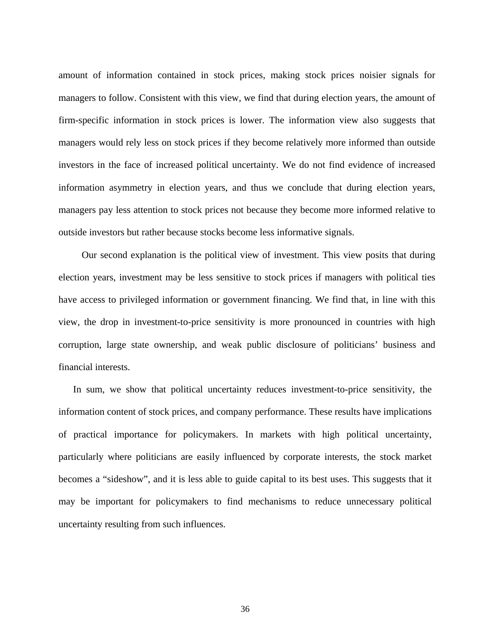amount of information contained in stock prices, making stock prices noisier signals for managers to follow. Consistent with this view, we find that during election years, the amount of firm-specific information in stock prices is lower. The information view also suggests that managers would rely less on stock prices if they become relatively more informed than outside investors in the face of increased political uncertainty. We do not find evidence of increased information asymmetry in election years, and thus we conclude that during election years, managers pay less attention to stock prices not because they become more informed relative to outside investors but rather because stocks become less informative signals.

 Our second explanation is the political view of investment. This view posits that during election years, investment may be less sensitive to stock prices if managers with political ties have access to privileged information or government financing. We find that, in line with this view, the drop in investment-to-price sensitivity is more pronounced in countries with high corruption, large state ownership, and weak public disclosure of politicians' business and financial interests.

In sum, we show that political uncertainty reduces investment-to-price sensitivity, the information content of stock prices, and company performance. These results have implications of practical importance for policymakers. In markets with high political uncertainty, particularly where politicians are easily influenced by corporate interests, the stock market becomes a "sideshow", and it is less able to guide capital to its best uses. This suggests that it may be important for policymakers to find mechanisms to reduce unnecessary political uncertainty resulting from such influences.

36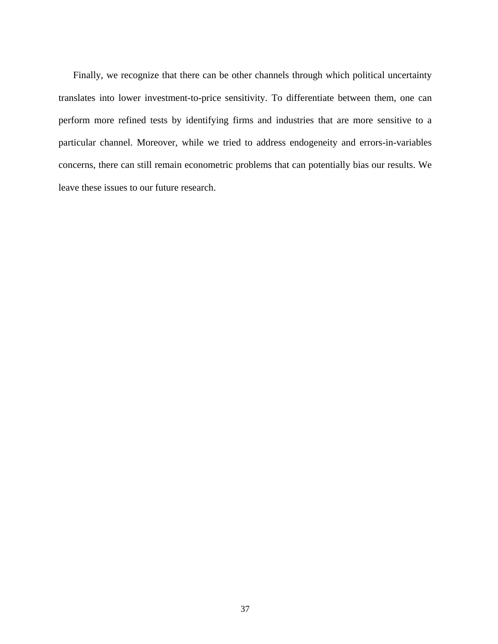Finally, we recognize that there can be other channels through which political uncertainty translates into lower investment-to-price sensitivity. To differentiate between them, one can perform more refined tests by identifying firms and industries that are more sensitive to a particular channel. Moreover, while we tried to address endogeneity and errors-in-variables concerns, there can still remain econometric problems that can potentially bias our results. We leave these issues to our future research.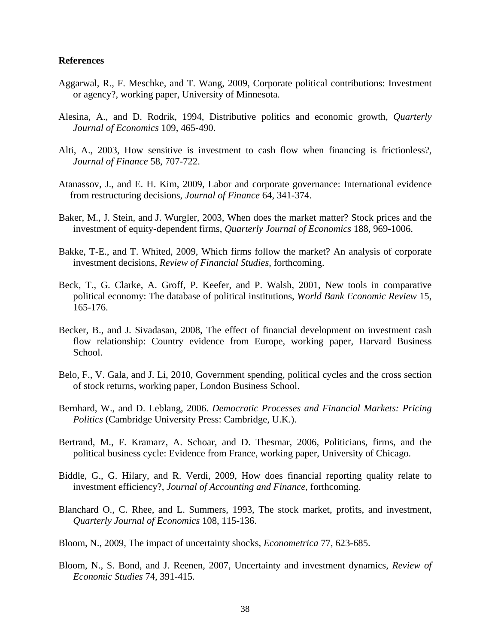#### **References**

- Aggarwal, R., F. Meschke, and T. Wang, 2009, Corporate political contributions: Investment or agency?, working paper, University of Minnesota.
- Alesina, A., and D. Rodrik, 1994, Distributive politics and economic growth, *Quarterly Journal of Economics* 109, 465-490.
- Alti, A., 2003, How sensitive is investment to cash flow when financing is frictionless?, *Journal of Finance* 58, 707-722.
- Atanassov, J., and E. H. Kim, 2009, Labor and corporate governance: International evidence from restructuring decisions, *Journal of Finance* 64, 341-374.
- Baker, M., J. Stein, and J. Wurgler, 2003, When does the market matter? Stock prices and the investment of equity-dependent firms, *Quarterly Journal of Economics* 188, 969-1006.
- Bakke, T-E., and T. Whited, 2009, Which firms follow the market? An analysis of corporate investment decisions, *Review of Financial Studies*, forthcoming.
- Beck, T., G. Clarke, A. Groff, P. Keefer, and P. Walsh, 2001, New tools in comparative political economy: The database of political institutions, *World Bank Economic Review* 15, 165-176.
- Becker, B., and J. Sivadasan, 2008, The effect of financial development on investment cash flow relationship: Country evidence from Europe, working paper, Harvard Business School.
- Belo, F., V. Gala, and J. Li, 2010, Government spending, political cycles and the cross section of stock returns, working paper, London Business School.
- Bernhard, W., and D. Leblang, 2006. *Democratic Processes and Financial Markets: Pricing Politics* (Cambridge University Press: Cambridge, U.K.).
- Bertrand, M., F. Kramarz, A. Schoar, and D. Thesmar, 2006, Politicians, firms, and the political business cycle: Evidence from France, working paper, University of Chicago.
- Biddle, G., G. Hilary, and R. Verdi, 2009, How does financial reporting quality relate to investment efficiency?, *Journal of Accounting and Finance*, forthcoming.
- Blanchard O., C. Rhee, and L. Summers, 1993, The stock market, profits, and investment, *Quarterly Journal of Economics* 108, 115-136.
- Bloom, N., 2009, The impact of uncertainty shocks, *Econometrica* 77, 623-685.
- Bloom, N., S. Bond, and J. Reenen, 2007, Uncertainty and investment dynamics, *Review of Economic Studies* 74, 391-415.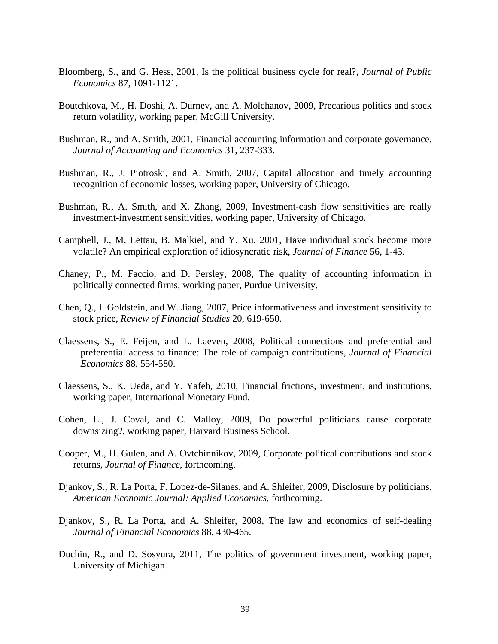- Bloomberg, S., and G. Hess, 2001, Is the political business cycle for real?, *Journal of Public Economics* 87, 1091-1121.
- Boutchkova, M., H. Doshi, A. Durnev, and A. Molchanov, 2009, Precarious politics and stock return volatility, working paper, McGill University.
- Bushman, R., and A. Smith, 2001, Financial accounting information and corporate governance, *Journal of Accounting and Economics* 31, 237-333.
- Bushman, R., J. Piotroski, and A. Smith, 2007, Capital allocation and timely accounting recognition of economic losses, working paper, University of Chicago.
- Bushman, R., A. Smith, and X. Zhang, 2009, Investment-cash flow sensitivities are really investment-investment sensitivities, working paper, University of Chicago.
- Campbell, J., M. Lettau, B. Malkiel, and Y. Xu, 2001, Have individual stock become more volatile? An empirical exploration of idiosyncratic risk, *Journal of Finance* 56, 1-43.
- Chaney, P., M. Faccio, and D. Persley, 2008, The quality of accounting information in politically connected firms, working paper, Purdue University.
- Chen, Q., I. Goldstein, and W. Jiang, 2007, Price informativeness and investment sensitivity to stock price, *Review of Financial Studies* 20, 619-650.
- Claessens, S., E. Feijen, and L. Laeven, 2008, Political connections and preferential and preferential access to finance: The role of campaign contributions, *Journal of Financial Economics* 88, 554-580.
- Claessens, S., K. Ueda, and Y. Yafeh, 2010, Financial frictions, investment, and institutions, working paper, International Monetary Fund.
- Cohen, L., J. Coval, and C. Malloy, 2009, Do powerful politicians cause corporate downsizing?, working paper, Harvard Business School.
- Cooper, M., H. Gulen, and A. Ovtchinnikov, 2009, Corporate political contributions and stock returns, *Journal of Finance*, forthcoming.
- Djankov, S., R. La Porta, F. Lopez-de-Silanes, and A. Shleifer, 2009, Disclosure by politicians, *American Economic Journal: Applied Economics*, forthcoming.
- Djankov, S., R. La Porta, and A. Shleifer, 2008, The law and economics of self-dealing *Journal of Financial Economics* 88, 430-465.
- Duchin, R., and D. Sosyura, 2011, The politics of government investment, working paper, University of Michigan.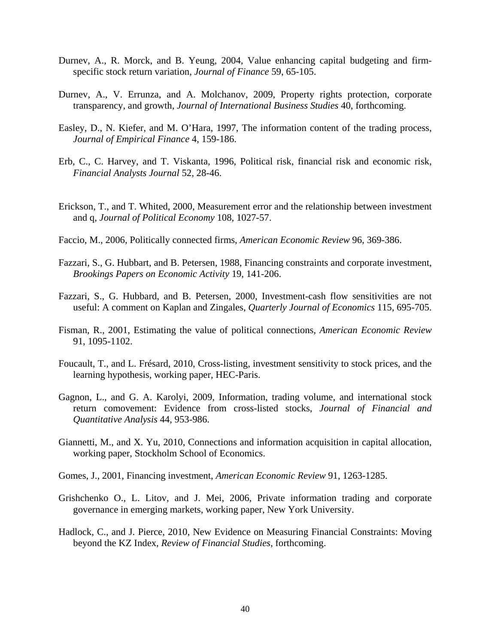- Durnev, A., R. Morck, and B. Yeung, 2004, Value enhancing capital budgeting and firmspecific stock return variation, *Journal of Finance* 59, 65-105.
- Durnev, A., V. Errunza, and A. Molchanov, 2009, Property rights protection, corporate transparency, and growth, *Journal of International Business Studies* 40, forthcoming.
- Easley, D., N. Kiefer, and M. O'Hara, 1997, The information content of the trading process, *Journal of Empirical Finance* 4, 159-186.
- Erb, C., C. Harvey, and T. Viskanta, 1996, Political risk, financial risk and economic risk, *Financial Analysts Journal* 52, 28-46.
- Erickson, T., and T. Whited, 2000, Measurement error and the relationship between investment and q, *Journal of Political Economy* 108, 1027-57.
- Faccio, M., 2006, Politically connected firms, *American Economic Review* 96, 369-386.
- Fazzari, S., G. Hubbart, and B. Petersen, 1988, Financing constraints and corporate investment, *Brookings Papers on Economic Activity* 19, 141-206.
- Fazzari, S., G. Hubbard, and B. Petersen, 2000, Investment-cash flow sensitivities are not useful: A comment on Kaplan and Zingales, *Quarterly Journal of Economics* 115, 695-705.
- Fisman, R., 2001, Estimating the value of political connections, *American Economic Review* 91, 1095-1102.
- Foucault, T., and L. Frésard, 2010, Cross-listing, investment sensitivity to stock prices, and the learning hypothesis, working paper, HEC-Paris.
- Gagnon, L., and G. A. Karolyi, 2009, Information, trading volume, and international stock return comovement: Evidence from cross-listed stocks, *Journal of Financial and Quantitative Analysis* 44, 953-986.
- Giannetti, M., and X. Yu, 2010, Connections and information acquisition in capital allocation, working paper, Stockholm School of Economics.
- Gomes, J., 2001, Financing investment, *American Economic Review* 91, 1263-1285.
- Grishchenko O., L. Litov, and J. Mei, 2006, Private information trading and corporate governance in emerging markets, working paper, New York University.
- Hadlock, C., and J. Pierce, 2010, New Evidence on Measuring Financial Constraints: Moving beyond the KZ Index, *Review of Financial Studies*, forthcoming.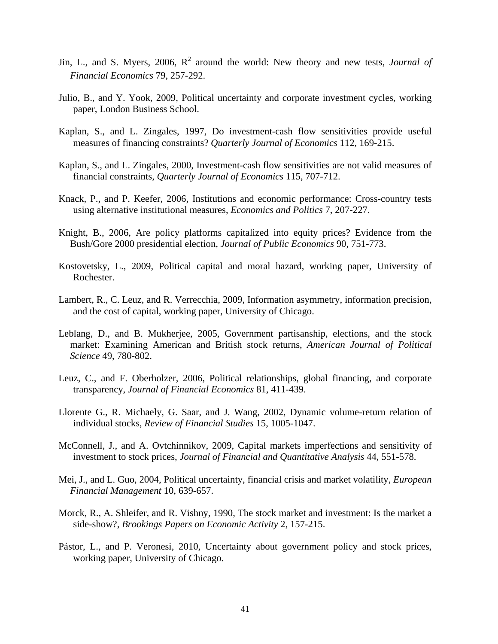- Jin, L., and S. Myers, 2006, R<sup>2</sup> around the world: New theory and new tests, *Journal of Financial Economics* 79, 257-292.
- Julio, B., and Y. Yook, 2009, Political uncertainty and corporate investment cycles, working paper, London Business School.
- Kaplan, S., and L. Zingales, 1997, Do investment-cash flow sensitivities provide useful measures of financing constraints? *Quarterly Journal of Economics* 112, 169-215.
- Kaplan, S., and L. Zingales, 2000, Investment-cash flow sensitivities are not valid measures of financial constraints, *Quarterly Journal of Economics* 115, 707-712.
- Knack, P., and P. Keefer, 2006, Institutions and economic performance: Cross-country tests using alternative institutional measures, *Economics and Politics* 7, 207-227.
- Knight, B., 2006, Are policy platforms capitalized into equity prices? Evidence from the Bush/Gore 2000 presidential election, *Journal of Public Economics* 90, 751-773.
- Kostovetsky, L., 2009, Political capital and moral hazard, working paper, University of Rochester.
- Lambert, R., C. Leuz, and R. Verrecchia, 2009, Information asymmetry, information precision, and the cost of capital, working paper, University of Chicago.
- Leblang, D., and B. Mukherjee, 2005, Government partisanship, elections, and the stock market: Examining American and British stock returns, *American Journal of Political Science* 49, 780-802.
- Leuz, C., and F. Oberholzer, 2006, Political relationships, global financing, and corporate transparency, *Journal of Financial Economics* 81, 411-439.
- Llorente G., R. Michaely, G. Saar, and J. Wang, 2002, Dynamic volume-return relation of individual stocks, *Review of Financial Studies* 15, 1005-1047.
- McConnell, J., and A. Ovtchinnikov, 2009, Capital markets imperfections and sensitivity of investment to stock prices, *Journal of Financial and Quantitative Analysis* 44, 551-578.
- Mei, J., and L. Guo, 2004, Political uncertainty, financial crisis and market volatility, *European Financial Management* 10, 639-657.
- Morck, R., A. Shleifer, and R. Vishny, 1990, The stock market and investment: Is the market a side-show?, *Brookings Papers on Economic Activity* 2, 157-215.
- Pástor, L., and P. Veronesi, 2010, Uncertainty about government policy and stock prices, working paper, University of Chicago.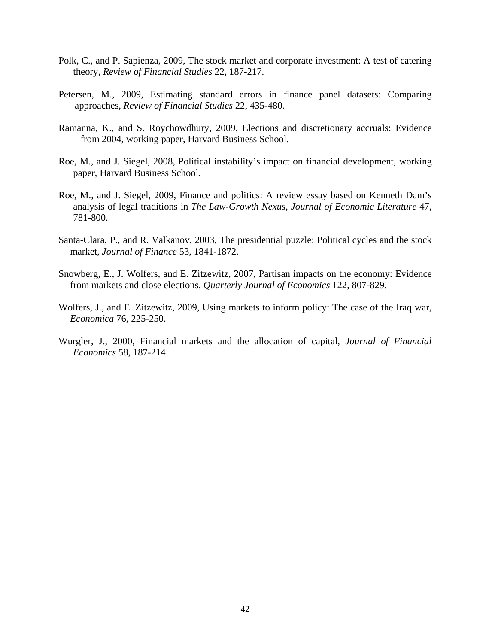- Polk, C., and P. Sapienza, 2009, The stock market and corporate investment: A test of catering theory, *Review of Financial Studies* 22, 187-217.
- Petersen, M., 2009, Estimating standard errors in finance panel datasets: Comparing approaches, *Review of Financial Studies* 22, 435-480.
- Ramanna, K., and S. Roychowdhury, 2009, Elections and discretionary accruals: Evidence from 2004, working paper, Harvard Business School.
- Roe, M., and J. Siegel, 2008, Political instability's impact on financial development, working paper, Harvard Business School.
- Roe, M., and J. Siegel, 2009, Finance and politics: A review essay based on Kenneth Dam's analysis of legal traditions in *The Law-Growth Nexus*, *Journal of Economic Literature* 47, 781-800.
- Santa-Clara, P., and R. Valkanov, 2003, The presidential puzzle: Political cycles and the stock market, *Journal of Finance* 53, 1841-1872.
- Snowberg, E., J. Wolfers, and E. Zitzewitz, 2007, Partisan impacts on the economy: Evidence from markets and close elections, *Quarterly Journal of Economics* 122, 807-829.
- Wolfers, J., and E. Zitzewitz, 2009, Using markets to inform policy: The case of the Iraq war, *Economica* 76, 225-250.
- Wurgler, J., 2000, Financial markets and the allocation of capital, *Journal of Financial Economics* 58, 187-214.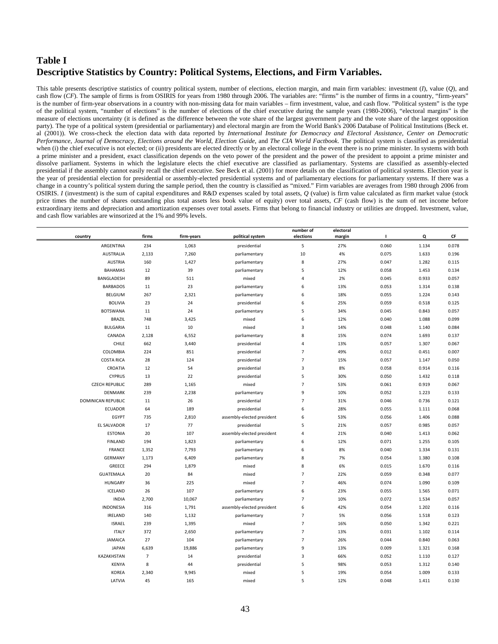## **Table I Descriptive Statistics by Country: Political Systems, Elections, and Firm Variables.**

This table presents descriptive statistics of country political system, number of elections, election margin, and main firm variables: investment (*I*), value (*Q*), and cash flow (*CF*). The sample of firms is from OSIRIS for years from 1980 through 2006. The variables are: "firms" is the number of firms in a country, "firm-years" is the number of firm-year observations in a country with non-missing data for main variables – firm investment, value, and cash flow. "Political system" is the type of the political system, "number of elections" is the number of elections of the chief executive during the sample years (1980-2006), "electoral margins" is the measure of elections uncertainty (it is defined as the difference between the vote share of the largest government party and the vote share of the largest opposition party). The type of a political system (presidential or parliamentary) and electoral margin are from the World Bank's 2006 Database of Political Institutions (Beck et. al (2001)). We cross-check the election data with data reported by *International Institute for Democracy and Electoral Assistance*, *Center on Democratic Performance*, *Journal of Democracy, Elections around the World*, *Election Guide*, and *The CIA World Factbook*. The political system is classified as presidential when (i) the chief executive is not elected; or (ii) presidents are elected directly or by an electoral college in the event there is no prime minister. In systems with both a prime minister and a president, exact classification depends on the veto power of the president and the power of the president to appoint a prime minister and dissolve parliament. Systems in which the legislature elects the chief executive are classified as parliamentary. Systems are classified as assembly-elected presidential if the assembly cannot easily recall the chief executive. See Beck et al. (2001) for more details on the classification of political systems. Election year is the year of presidential election for presidential or assembly-elected presidential systems and of parliamentary elections for parliamentary systems. If there was a change in a country's political system during the sample period, then the country is classified as "mixed." Firm variables are averages from 1980 through 2006 from OSIRIS. *I* (investment) is the sum of capital expenditures and R&D expenses scaled by total assets, *Q* (value) is firm value calculated as firm market value (stock price times the number of shares outstanding plus total assets less book value of equity) over total assets, *CF* (cash flow) is the sum of net income before extraordinary items and depreciation and amortization expenses over total assets. Firms that belong to financial industry or utilities are dropped. Investment, value, and cash flow variables are winsorized at the 1% and 99% levels.

| country               | firms          | firm-years | political system           | number of<br>elections | electoral<br>margin | $\blacksquare$ | Q     | CF    |
|-----------------------|----------------|------------|----------------------------|------------------------|---------------------|----------------|-------|-------|
| ARGENTINA             | 234            | 1,063      | presidential               | 5                      | 27%                 | 0.060          | 1.134 | 0.078 |
| <b>AUSTRALIA</b>      | 2,133          | 7,260      | parliamentary              | 10                     | 4%                  | 0.075          | 1.633 | 0.196 |
| <b>AUSTRIA</b>        | 160            | 1,427      | parliamentary              | 8                      | 27%                 | 0.047          | 1.282 | 0.115 |
| <b>BAHAMAS</b>        | 12             | 39         | parliamentary              | 5                      | 12%                 | 0.058          | 1.453 | 0.134 |
| BANGLADESH            | 89             | 511        | mixed                      | 4                      | 2%                  | 0.045          | 0.933 | 0.057 |
| <b>BARBADOS</b>       | 11             | 23         | parliamentary              | 6                      | 13%                 | 0.053          | 1.314 | 0.138 |
| BELGIUM               | 267            | 2,321      | parliamentary              | 6                      | 18%                 | 0.055          | 1.224 | 0.143 |
| <b>BOLIVIA</b>        | 23             | 24         | presidential               | 6                      | 25%                 | 0.059          | 0.518 | 0.125 |
| <b>BOTSWANA</b>       | 11             | 24         | parliamentary              | 5                      | 34%                 | 0.045          | 0.843 | 0.057 |
| <b>BRAZIL</b>         | 748            | 3,425      | mixed                      | 6                      | 12%                 | 0.040          | 1.088 | 0.099 |
| <b>BULGARIA</b>       | 11             | 10         | mixed                      | $\mathsf 3$            | 14%                 | 0.048          | 1.140 | 0.084 |
| CANADA                | 2,128          | 6,552      | parliamentary              | 8                      | 15%                 | 0.074          | 1.693 | 0.137 |
| CHILE                 | 662            | 3,440      | presidential               | $\overline{4}$         | 13%                 | 0.057          | 1.307 | 0.067 |
| COLOMBIA              | 224            | 851        | presidential               | $\overline{7}$         | 49%                 | 0.012          | 0.451 | 0.007 |
| <b>COSTA RICA</b>     | 28             | 124        | presidential               | $\overline{7}$         | 15%                 | 0.057          | 1.147 | 0.050 |
| CROATIA               | 12             | 54         | presidential               | 3                      | 8%                  | 0.058          | 0.914 | 0.116 |
| <b>CYPRUS</b>         | 13             | 22         | presidential               | 5                      | 30%                 | 0.050          | 1.432 | 0.118 |
| <b>CZECH REPUBLIC</b> | 289            | 1,165      | mixed                      | $\overline{7}$         | 53%                 | 0.061          | 0.919 | 0.067 |
| <b>DENMARK</b>        | 239            | 2,238      | parliamentary              | 9                      | 10%                 | 0.052          | 1.223 | 0.133 |
| DOMINICAN REPUBLIC    | 11             | 26         | presidential               | $\overline{7}$         | 31%                 | 0.046          | 0.736 | 0.121 |
| <b>ECUADOR</b>        | 64             | 189        | presidential               | 6                      | 28%                 | 0.055          | 1.111 | 0.068 |
| EGYPT                 | 735            | 2,810      | assembly-elected president | 6                      | 53%                 | 0.056          | 1.406 | 0.088 |
| <b>EL SALVADOR</b>    | 17             | 77         | presidential               | 5                      | 21%                 | 0.057          | 0.985 | 0.057 |
| <b>ESTONIA</b>        | 20             | 107        | assembly-elected president | 4                      | 21%                 | 0.040          | 1.413 | 0.062 |
| <b>FINLAND</b>        | 194            | 1,823      | parliamentary              | 6                      | 12%                 | 0.071          | 1.255 | 0.105 |
| <b>FRANCE</b>         | 1,352          | 7,793      | parliamentary              | 6                      | 8%                  | 0.040          | 1.334 | 0.131 |
| <b>GERMANY</b>        | 1,173          | 6,409      | parliamentary              | 8                      | 7%                  | 0.054          | 1.380 | 0.108 |
| GREECE                | 294            | 1,879      | mixed                      | 8                      | 6%                  | 0.015          | 1.670 | 0.116 |
| <b>GUATEMALA</b>      | 20             | 84         | mixed                      | $\overline{7}$         | 22%                 | 0.059          | 0.348 | 0.077 |
| <b>HUNGARY</b>        | 36             | 225        | mixed                      | $\overline{7}$         | 46%                 | 0.074          | 1.090 | 0.109 |
| ICELAND               | 26             | 107        | parliamentary              | 6                      | 23%                 | 0.055          | 1.565 | 0.071 |
| <b>INDIA</b>          | 2,700          | 10,067     | parliamentary              | $\overline{7}$         | 10%                 | 0.072          | 1.534 | 0.057 |
| <b>INDONESIA</b>      | 316            | 1,791      | assembly-elected president | 6                      | 42%                 | 0.054          | 1.202 | 0.116 |
| <b>IRELAND</b>        | 140            | 1,132      | parliamentary              | $\overline{7}$         | 5%                  | 0.056          | 1.518 | 0.123 |
| <b>ISRAEL</b>         | 239            | 1,395      | mixed                      | $\overline{7}$         | 16%                 | 0.050          | 1.342 | 0.221 |
| <b>ITALY</b>          | 372            | 2,650      | parliamentary              | $\overline{7}$         | 13%                 | 0.031          | 1.102 | 0.114 |
| <b>JAMAICA</b>        | 27             | 104        | parliamentary              | $\overline{7}$         | 26%                 | 0.044          | 0.840 | 0.063 |
| <b>JAPAN</b>          | 6,639          | 19,886     | parliamentary              | 9                      | 13%                 | 0.009          | 1.321 | 0.168 |
| KAZAKHSTAN            | $\overline{7}$ | 14         | presidential               | 3                      | 66%                 | 0.052          | 1.110 | 0.127 |
| <b>KENYA</b>          | 8              | 44         | presidential               | 5                      | 98%                 | 0.053          | 1.312 | 0.140 |
| <b>KOREA</b>          | 2,340          | 9,945      | mixed                      | 5                      | 19%                 | 0.054          | 1.009 | 0.133 |
| LATVIA                | 45             | 165        | mixed                      | 5                      | 12%                 | 0.048          | 1.411 | 0.130 |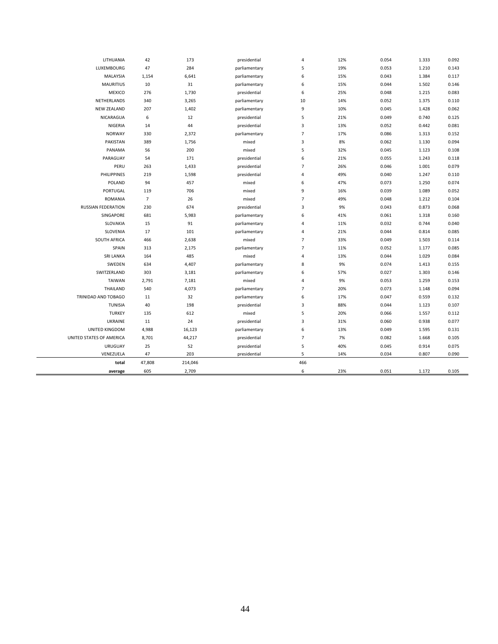| LITHUANIA<br>LUXEMBOURG<br>MALAYSIA<br><b>MAURITIUS</b> | 42<br>47<br>1,154<br>10<br>276 | 173<br>284<br>6,641<br>31 | presidential<br>parliamentary<br>parliamentary | 4<br>5<br>6    | 12%<br>19% | 0.054<br>0.053 | 1.333<br>1.210 | 0.092<br>0.143 |
|---------------------------------------------------------|--------------------------------|---------------------------|------------------------------------------------|----------------|------------|----------------|----------------|----------------|
|                                                         |                                |                           |                                                |                |            |                |                |                |
|                                                         |                                |                           |                                                |                |            |                |                |                |
|                                                         |                                |                           |                                                |                | 15%        | 0.043          | 1.384          | 0.117          |
|                                                         |                                |                           | parliamentary                                  | 6              | 15%        | 0.044          | 1.502          | 0.146          |
| <b>MEXICO</b>                                           |                                | 1,730                     | presidential                                   | 6              | 25%        | 0.048          | 1.215          | 0.083          |
| NETHERLANDS                                             | 340                            | 3,265                     | parliamentary                                  | 10             | 14%        | 0.052          | 1.375          | 0.110          |
| <b>NEW ZEALAND</b>                                      | 207                            | 1,402                     | parliamentary                                  | 9              | 10%        | 0.045          | 1.428          | 0.062          |
| NICARAGUA                                               | $\,6\,$                        | 12                        | presidential                                   | 5              | 21%        | 0.049          | 0.740          | 0.125          |
| NIGERIA                                                 | 14                             | 44                        | presidential                                   | 3              | 13%        | 0.052          | 0.442          | 0.081          |
| <b>NORWAY</b>                                           | 330                            | 2,372                     | parliamentary                                  | $\overline{7}$ | 17%        | 0.086          | 1.313          | 0.152          |
| PAKISTAN                                                | 389                            | 1,756                     | mixed                                          | 3              | 8%         | 0.062          | 1.130          | 0.094          |
| PANAMA                                                  | 56                             | 200                       | mixed                                          | 5              | 32%        | 0.045          | 1.123          | 0.108          |
| PARAGUAY                                                | 54                             | 171                       | presidential                                   | 6              | 21%        | 0.055          | 1.243          | 0.118          |
| PERU                                                    | 263                            | 1,433                     | presidential                                   | $\overline{7}$ | 26%        | 0.046          | 1.001          | 0.079          |
| PHILIPPINES                                             | 219                            | 1,598                     | presidential                                   | 4              | 49%        | 0.040          | 1.247          | 0.110          |
| POLAND                                                  | 94                             | 457                       | mixed                                          | 6              | 47%        | 0.073          | 1.250          | 0.074          |
| PORTUGAL                                                | 119                            | 706                       | mixed                                          | 9              | 16%        | 0.039          | 1.089          | 0.052          |
| <b>ROMANIA</b>                                          | $\overline{7}$                 | 26                        | mixed                                          | $\overline{7}$ | 49%        | 0.048          | 1.212          | 0.104          |
| RUSSIAN FEDERATION                                      | 230                            | 674                       | presidential                                   | $\mathsf 3$    | 9%         | 0.043          | 0.873          | 0.068          |
| SINGAPORE                                               | 681                            | 5,983                     | parliamentary                                  | 6              | 41%        | 0.061          | 1.318          | 0.160          |
| SLOVAKIA                                                | 15                             | 91                        | parliamentary                                  | $\overline{4}$ | 11%        | 0.032          | 0.744          | 0.040          |
| SLOVENIA                                                | 17                             | 101                       | parliamentary                                  | 4              | 21%        | 0.044          | 0.814          | 0.085          |
| SOUTH AFRICA                                            | 466                            | 2,638                     | mixed                                          | $\overline{7}$ | 33%        | 0.049          | 1.503          | 0.114          |
| SPAIN                                                   | 313                            | 2,175                     | parliamentary                                  | $\overline{7}$ | 11%        | 0.052          | 1.177          | 0.085          |
| SRI LANKA                                               | 164                            | 485                       | mixed                                          | 4              | 13%        | 0.044          | 1.029          | 0.084          |
| SWEDEN                                                  | 634                            | 4,407                     | parliamentary                                  | 8              | 9%         | 0.074          | 1.413          | 0.155          |
| SWITZERLAND                                             | 303                            | 3,181                     | parliamentary                                  | 6              | 57%        | 0.027          | 1.303          | 0.146          |
| <b>TAIWAN</b>                                           | 2,791                          | 7,181                     | mixed                                          | 4              | 9%         | 0.053          | 1.259          | 0.153          |
| <b>THAILAND</b>                                         | 540                            | 4,073                     | parliamentary                                  | $\overline{7}$ | 20%        | 0.073          | 1.148          | 0.094          |
| TRINIDAD AND TOBAGO                                     | 11                             | 32                        | parliamentary                                  | 6              | 17%        | 0.047          | 0.559          | 0.132          |
| <b>TUNISIA</b>                                          | 40                             | 198                       | presidential                                   | 3              | 88%        | 0.044          | 1.123          | 0.107          |
| <b>TURKEY</b>                                           | 135                            | 612                       | mixed                                          | 5              | 20%        | 0.066          | 1.557          | 0.112          |
| <b>UKRAINE</b>                                          | 11                             | 24                        | presidential                                   | $\mathsf 3$    | 31%        | 0.060          | 0.938          | 0.077          |
| UNITED KINGDOM                                          | 4,988                          | 16,123                    | parliamentary                                  | 6              | 13%        | 0.049          | 1.595          | 0.131          |
| UNITED STATES OF AMERICA                                | 8,701                          | 44,217                    | presidential                                   | $\overline{7}$ | 7%         | 0.082          | 1.668          | 0.105          |
| <b>URUGUAY</b>                                          | 25                             | 52                        | presidential                                   | 5              | 40%        | 0.045          | 0.914          | 0.075          |
| VENEZUELA                                               | 47                             | 203                       | presidential                                   | 5              | 14%        | 0.034          | 0.807          | 0.090          |
| total                                                   | 47,808                         | 214,046                   |                                                | 466            |            |                |                |                |
| average                                                 | 605                            | 2,709                     |                                                | 6              | 23%        | 0.051          | 1.172          | 0.105          |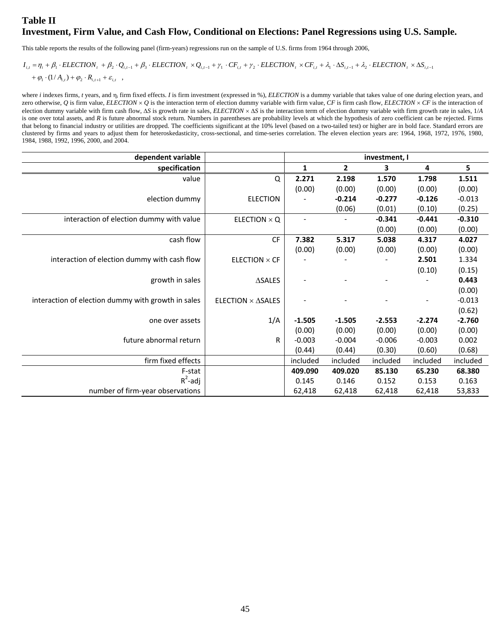## **Table II Investment, Firm Value, and Cash Flow, Conditional on Elections: Panel Regressions using U.S. Sample.**

This table reports the results of the following panel (firm-years) regressions run on the sample of U.S. firms from 1964 through 2006,

## $+\varphi_1 \cdot (1/A_{i,t}) + \varphi_2 \cdot R_{i,t+1} + \varepsilon_{i,t}$  $I_{i,t} = \eta_i + \beta_1 \cdot ELECTION_t + \beta_2 \cdot Q_{i,t-1} + \beta_3 \cdot ELECTION_t \times Q_{i,t-1} + \gamma_1 \cdot CF_{i,t} + \gamma_2 \cdot ELECTION_t \times CF_{i,t} + \lambda_1 \cdot \Delta S_{i,t-1} + \lambda_2 \cdot ELECTION_t \times \Delta S_{i,t-1}$

where *i* indexes firms, *t* years, and  $\eta_i$  firm fixed effects. *I* is firm investment (expressed in %), *ELECTION* is a dummy variable that takes value of one during election years, and zero otherwise, Q is firm value, *ELECTION*  $\times$  Q is the interaction term of election dummy variable with firm value, CF is firm cash flow, *ELECTION*  $\times$  CF is the interaction of election dummy variable with firm cash flow,  $\Delta S$  is growth rate in sales, *ELECTION*  $\times$   $\Delta S$  is the interaction term of election dummy variable with firm growth rate in sales, 1/*A* is one over total assets, and *R* is future abnormal stock return. Numbers in parentheses are probability levels at which the hypothesis of zero coefficient can be rejected. Firms that belong to financial industry or utilities are dropped. The coefficients significant at the 10% level (based on a two-tailed test) or higher are in bold face. Standard errors are clustered by firms and years to adjust them for heteroskedasticity, cross-sectional, and time-series correlation. The eleven election years are: 1964, 1968, 1972, 1976, 1980, 1984, 1988, 1992, 1996, 2000, and 2004.

| dependent variable                                 |                                                                 | investment, I |              |          |          |          |
|----------------------------------------------------|-----------------------------------------------------------------|---------------|--------------|----------|----------|----------|
| specification                                      |                                                                 | 1             | $\mathbf{2}$ | 3        | 4        | 5        |
| value                                              | Q                                                               | 2.271         | 2.198        | 1.570    | 1.798    | 1.511    |
|                                                    |                                                                 | (0.00)        | (0.00)       | (0.00)   | (0.00)   | (0.00)   |
| election dummy                                     | <b>ELECTION</b>                                                 |               | $-0.214$     | $-0.277$ | $-0.126$ | $-0.013$ |
|                                                    |                                                                 |               | (0.06)       | (0.01)   | (0.10)   | (0.25)   |
| interaction of election dummy with value           | ELECTION $\times$ Q                                             |               |              | $-0.341$ | $-0.441$ | $-0.310$ |
|                                                    |                                                                 |               |              | (0.00)   | (0.00)   | (0.00)   |
| cash flow                                          | <b>CF</b>                                                       | 7.382         | 5.317        | 5.038    | 4.317    | 4.027    |
|                                                    |                                                                 | (0.00)        | (0.00)       | (0.00)   | (0.00)   | (0.00)   |
| interaction of election dummy with cash flow       | ELECTION $\times$ CF                                            |               |              |          | 2.501    | 1.334    |
|                                                    |                                                                 |               |              |          | (0.10)   | (0.15)   |
| growth in sales                                    | $\triangle SALES$                                               |               |              |          |          | 0.443    |
|                                                    |                                                                 |               |              |          |          | (0.00)   |
| interaction of election dummy with growth in sales | <b>ELECTION <math>\times</math> <math>\triangle</math>SALES</b> |               |              |          |          | $-0.013$ |
|                                                    |                                                                 |               |              |          |          | (0.62)   |
| one over assets                                    | 1/A                                                             | $-1.505$      | $-1.505$     | $-2.553$ | $-2.274$ | $-2.760$ |
|                                                    |                                                                 | (0.00)        | (0.00)       | (0.00)   | (0.00)   | (0.00)   |
| future abnormal return                             | R                                                               | $-0.003$      | $-0.004$     | $-0.006$ | $-0.003$ | 0.002    |
|                                                    |                                                                 | (0.44)        | (0.44)       | (0.30)   | (0.60)   | (0.68)   |
| firm fixed effects                                 |                                                                 | included      | included     | included | included | included |
| F-stat                                             |                                                                 | 409.090       | 409.020      | 85.130   | 65.230   | 68.380   |
| $R^2$ -adj                                         |                                                                 | 0.145         | 0.146        | 0.152    | 0.153    | 0.163    |
| number of firm-year observations                   |                                                                 | 62,418        | 62,418       | 62,418   | 62,418   | 53,833   |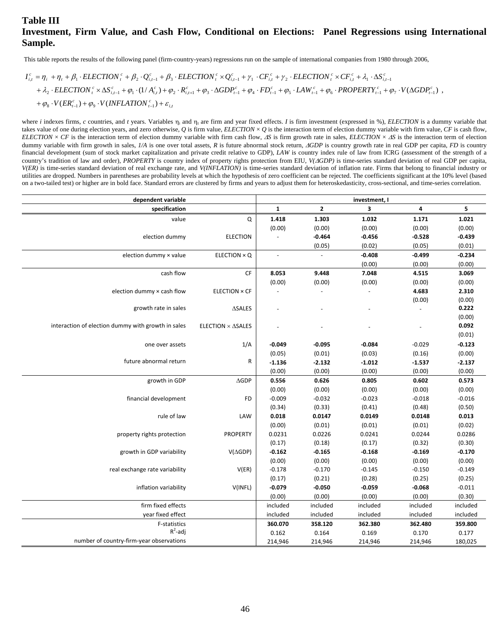## **Table III Investment, Firm Value, and Cash Flow, Conditional on Elections: Panel Regressions using International Sample.**

This table reports the results of the following panel (firm-country-years) regressions run on the sample of international companies from 1980 through 2006,

$$
\begin{split} I_{i,t}^c&=\eta_i+\eta_t+\beta_1\cdot \textit{ELECTION}^c_t+\beta_2\cdot Q_{i,t-1}^c+\beta_3\cdot \textit{ELECTION}^c_t\times Q_{i,t-1}^c+\gamma_1\cdot CF_{i,t}^c+\gamma_2\cdot \textit{ELECTION}^c_t\times CF_{i,t}^c+\lambda_1\cdot \Delta S_{i,t-1}^c\\ &+\lambda_2\cdot \textit{ELECTION}^c_t\times \Delta S_{i,t-1}^c+\varphi_1\cdot (1/A_{i,t}^c)+\varphi_2\cdot R_{i,t+1}^c+\varphi_3\cdot \Delta GDP_{t-1}^c+\varphi_4\cdot FD_{t-1}^c+\varphi_5\cdot \textit{LAW}_{t-1}^c+\varphi_6\cdot \textit{PROPERTIES}_{t-1}^c+\varphi_7\cdot V(\Delta GDP_{t-1}^c)\\ &+\varphi_8\cdot V(\textit{E}\textit{R}_{t-1}^c)+\varphi_9\cdot V(\textit{INFLATION}_{t-1}^c)+\varepsilon_{i,t} \end{split}
$$

where *i* indexes firms, *c* countries, and *t* years. Variables  $\eta_i$  and  $\eta_t$  are firm and year fixed effects. *I* is firm investment (expressed in %), *ELECTION* is a dummy variable that takes value of one during election years, and zero otherwise,  $Q$  is firm value,  $E\triangle E\triangle TION \times Q$  is the interaction term of election dummy variable with firm value,  $CF$  is cash flow, *ELECTION* × *CF* is the interaction term of election dummy variable with firm cash flow,  $\Delta S$  is firm growth rate in sales, *ELECTION* ×  $\Delta S$  is the interaction term of election dummy variable with firm growth in sales,  $I/A$  is one over total assets, R is future abnormal stock return, *AGDP* is country growth rate in real GDP per capita, FD is country financial development (sum of stock market capitalization and private credit relative to GDP), *LAW* is country index rule of law from ICRG (assessment of the strength of a country's tradition of law and order), *PROPERTY* is country index of property rights protection from EIU, *V(GDP)* is time-series standard deviation of real GDP per capita, *V(ER)* is time-series standard deviation of real exchange rate, and *V(INFLATION)* is time-series standard deviation of inflation rate. Firms that belong to financial industry or utilities are dropped. Numbers in parentheses are probability levels at which the hypothesis of zero coefficient can be rejected. The coefficients significant at the 10% level (based on a two-tailed test) or higher are in bold face. Standard errors are clustered by firms and years to adjust them for heteroskedasticity, cross-sectional, and time-series correlation.

| dependent variable                                 |                      |                |                | investment, I |                |          |
|----------------------------------------------------|----------------------|----------------|----------------|---------------|----------------|----------|
| specification                                      |                      | $\mathbf{1}$   | $\overline{2}$ | 3             | 4              | 5        |
| value                                              | Q                    | 1.418          | 1.303          | 1.032         | 1.171          | 1.021    |
|                                                    |                      | (0.00)         | (0.00)         | (0.00)        | (0.00)         | (0.00)   |
| election dummy                                     | <b>ELECTION</b>      | $\overline{a}$ | $-0.464$       | $-0.456$      | $-0.528$       | $-0.439$ |
|                                                    |                      |                | (0.05)         | (0.02)        | (0.05)         | (0.01)   |
| election dummy × value                             | ELECTION × Q         | $\overline{a}$ |                | $-0.408$      | $-0.499$       | $-0.234$ |
|                                                    |                      |                |                | (0.00)        | (0.00)         | (0.00)   |
| cash flow                                          | $\mathsf{CF}$        | 8.053          | 9.448          | 7.048         | 4.515          | 3.069    |
|                                                    |                      | (0.00)         | (0.00)         | (0.00)        | (0.00)         | (0.00)   |
| election dummy x cash flow                         | <b>ELECTION × CF</b> | $\omega$       |                |               | 4.683          | 2.310    |
|                                                    |                      |                |                |               | (0.00)         | (0.00)   |
| growth rate in sales                               | $\triangle SALES$    |                |                |               | $\overline{a}$ | 0.222    |
|                                                    |                      |                |                |               |                | (0.00)   |
| interaction of election dummy with growth in sales | ELECTION × ASALES    |                |                |               |                | 0.092    |
|                                                    |                      |                |                |               |                | (0.01)   |
| one over assets                                    | 1/A                  | $-0.049$       | $-0.095$       | $-0.084$      | $-0.029$       | $-0.123$ |
|                                                    |                      | (0.05)         | (0.01)         | (0.03)        | (0.16)         | (0.00)   |
| future abnormal return                             | R                    | $-1.136$       | $-2.132$       | $-1.012$      | 1.537          | $-2.137$ |
|                                                    |                      | (0.00)         | (0.00)         | (0.00)        | (0.00)         | (0.00)   |
| growth in GDP                                      | $\triangle$ GDP      | 0.556          | 0.626          | 0.805         | 0.602          | 0.573    |
|                                                    |                      | (0.00)         | (0.00)         | (0.00)        | (0.00)         | (0.00)   |
| financial development                              | <b>FD</b>            | $-0.009$       | $-0.032$       | $-0.023$      | $-0.018$       | $-0.016$ |
|                                                    |                      | (0.34)         | (0.33)         | (0.41)        | (0.48)         | (0.50)   |
| rule of law                                        | LAW                  | 0.018          | 0.0147         | 0.0149        | 0.0148         | 0.013    |
|                                                    |                      | (0.00)         | (0.01)         | (0.01)        | (0.01)         | (0.02)   |
| property rights protection                         | PROPERTY             | 0.0231         | 0.0226         | 0.0241        | 0.0244         | 0.0286   |
|                                                    |                      | (0.17)         | (0.18)         | (0.17)        | (0.32)         | (0.30)   |
| growth in GDP variability                          | $V(\triangle GDP)$   | $-0.162$       | $-0.165$       | $-0.168$      | $-0.169$       | $-0.170$ |
|                                                    |                      | (0.00)         | (0.00)         | (0.00)        | (0.00)         | (0.00)   |
| real exchange rate variability                     | V(ER)                | $-0.178$       | $-0.170$       | $-0.145$      | $-0.150$       | $-0.149$ |
|                                                    |                      | (0.17)         | (0.21)         | (0.28)        | (0.25)         | (0.25)   |
| inflation variability                              | V(INFL)              | $-0.079$       | $-0.050$       | $-0.059$      | $-0.068$       | $-0.011$ |
|                                                    |                      | (0.00)         | (0.00)         | (0.00)        | (0.00)         | (0.30)   |
| firm fixed effects                                 |                      | included       | included       | included      | included       | included |
| year fixed effect                                  |                      | included       | included       | included      | included       | included |
| F-statistics                                       |                      | 360.070        | 358.120        | 362.380       | 362.480        | 359.800  |
| $R^2$ -adj                                         |                      | 0.162          | 0.164          | 0.169         | 0.170          | 0.177    |
| number of country-firm-year observations           |                      | 214,946        | 214,946        | 214,946       | 214,946        | 180,025  |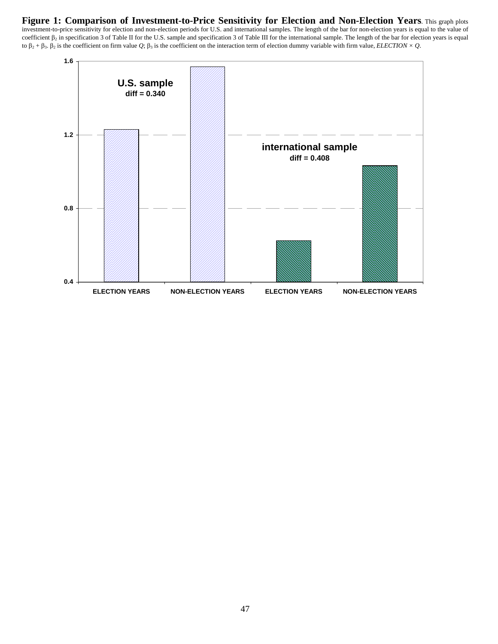**Figure 1: Comparison of Investment-to-Price Sensitivity for Election and Non-Election Years**. This graph plots investment-to-price sensitivity for election and non-election periods for U.S. and international samples. The length of the bar for non-election years is equal to the value of coefficient  $\beta_2$  in specification 3 of Table II for the U.S. sample and specification 3 of Table III for the international sample. The length of the bar for election years is equal to  $\beta_2 + \beta_3$ .  $\beta_2$  is the coefficient on firm value *Q*;  $\beta_3$  is the coefficient on the interaction term of election dummy variable with firm value, *ELECTION* × *Q*.

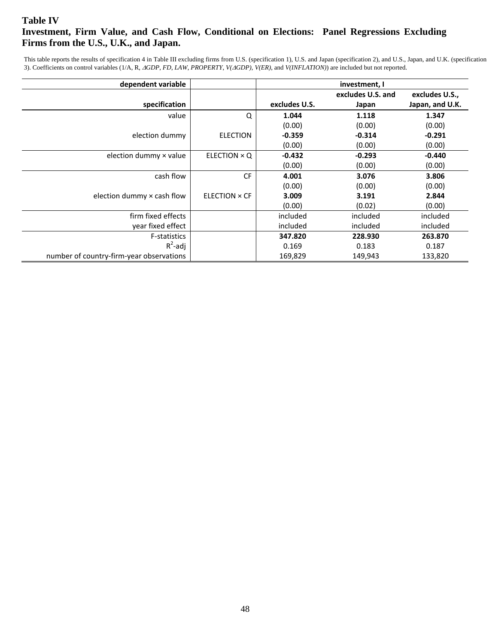## **Table IV Investment, Firm Value, and Cash Flow, Conditional on Elections: Panel Regressions Excluding Firms from the U.S., U.K., and Japan.**

This table reports the results of specification 4 in Table III excluding firms from U.S. (specification 1), U.S. and Japan (specification 2), and U.S., Japan, and U.K. (specification 3). Coefficients on control variables (1/A, R, *GDP*, *FD*, *LAW*, *PROPERTY*, *V(GDP)*, *V(ER)*, and *V(INFLATION)*) are included but not reported.

| dependent variable                       |                     | investment, I |                   |                 |  |  |
|------------------------------------------|---------------------|---------------|-------------------|-----------------|--|--|
|                                          |                     |               | excludes U.S. and | excludes U.S.,  |  |  |
| specification                            |                     | excludes U.S. | Japan             | Japan, and U.K. |  |  |
| value                                    | Q                   | 1.044         | 1.118             | 1.347           |  |  |
|                                          |                     | (0.00)        | (0.00)            | (0.00)          |  |  |
| election dummy                           | <b>ELECTION</b>     | $-0.359$      | $-0.314$          | $-0.291$        |  |  |
|                                          |                     | (0.00)        | (0.00)            | (0.00)          |  |  |
| election dummy x value                   | ELECTION $\times$ Q | $-0.432$      | $-0.293$          | $-0.440$        |  |  |
|                                          |                     | (0.00)        | (0.00)            | (0.00)          |  |  |
| cash flow                                | <b>CF</b>           | 4.001         | 3.076             | 3.806           |  |  |
|                                          |                     | (0.00)        | (0.00)            | (0.00)          |  |  |
| election dummy x cash flow               | ELECTION × CF       | 3.009         | 3.191             | 2.844           |  |  |
|                                          |                     | (0.00)        | (0.02)            | (0.00)          |  |  |
| firm fixed effects                       |                     | included      | included          | included        |  |  |
| year fixed effect                        |                     | included      | included          | included        |  |  |
| F-statistics                             |                     | 347.820       | 228.930           | 263.870         |  |  |
| $R^2$ -adj                               |                     | 0.169         | 0.183             | 0.187           |  |  |
| number of country-firm-year observations |                     | 169,829       | 149,943           | 133,820         |  |  |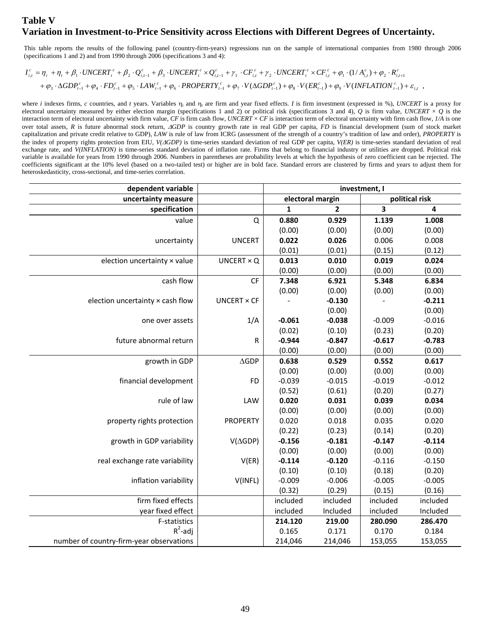## **Table V Variation in Investment-to-Price Sensitivity across Elections with Different Degrees of Uncertainty.**

This table reports the results of the following panel (country-firm-years) regressions run on the sample of international companies from 1980 through 2006 (specifications 1 and 2) and from 1990 through 2006 (specifications 3 and 4):

 $+\varphi_3\cdot \Delta GDP^c_{t-1} + \varphi_4\cdot FD^c_{t-1} + \varphi_5\cdot LAW^c_{t-1} + \varphi_6\cdot PROPERTY^c_{t-1} + \varphi_7\cdot V(\Delta GDP^c_{t-1}) + \varphi_8\cdot V(ER^c_{t-1}) + \varphi_9\cdot V(INFLATION^c_{t-1}) + \varepsilon_{i,t}$  $I_{i,t}^c = \eta_i + \eta_t + \beta_1 \cdot UNCERT_t^c + \beta_2 \cdot Q_{i,t-1}^c + \beta_3 \cdot UNCERT_t^c \times Q_{i,t-1}^c + \gamma_1 \cdot CF_{i,t}^c + \gamma_2 \cdot UNCERT_t^c \times CF_{i,t}^c + \varphi_1 \cdot (1/A_{i,t}^c) + \varphi_2 \cdot R_{i,t+1}^c$ 

where *i* indexes firms, *c* countries, and *t* years. Variables  $\eta_i$  and  $\eta_t$  are firm and year fixed effects. *I* is firm investment (expressed in %), *UNCERT* is a proxy for electoral uncertainty measured by either election margin (specifications 1 and 2) or political risk (specifications 3 and 4), *Q* is firm value, *UNCERT* × *Q* is the interaction term of electoral uncertainty with firm value, *CF* is firm cash flow, *UNCERT* × *CF* is interaction term of electoral uncertainty with firm cash flow, *1/A* is one over total assets, *R* is future abnormal stock return, *GDP* is country growth rate in real GDP per capita, *FD* is financial development (sum of stock market capitalization and private credit relative to GDP), *LAW* is rule of law from ICRG (assessment of the strength of a country's tradition of law and order), *PROPERTY* is the index of property rights protection from EIU, *V(GDP)* is time-series standard deviation of real GDP per capita, *V(ER)* is time-series standard deviation of real exchange rate, and *V(INFLATION)* is time-series standard deviation of inflation rate. Firms that belong to financial industry or utilities are dropped. Political risk variable is available for years from 1990 through 2006. Numbers in parentheses are probability levels at which the hypothesis of zero coefficient can be rejected. The coefficients significant at the 10% level (based on a two-tailed test) or higher are in bold face. Standard errors are clustered by firms and years to adjust them for heteroskedasticity, cross-sectional, and time-series correlation.

| dependent variable                       |                    | investment, I    |                |                         |                |
|------------------------------------------|--------------------|------------------|----------------|-------------------------|----------------|
| uncertainty measure                      |                    | electoral margin |                |                         | political risk |
| specification                            |                    | $\mathbf{1}$     | $\overline{2}$ | $\overline{\mathbf{3}}$ | 4              |
| value                                    | $\mathsf Q$        | 0.880            | 0.929          | 1.139                   | 1.008          |
|                                          |                    | (0.00)           | (0.00)         | (0.00)                  | (0.00)         |
| uncertainty                              | <b>UNCERT</b>      | 0.022            | 0.026          | 0.006                   | 0.008          |
|                                          |                    | (0.01)           | (0.01)         | (0.15)                  | (0.12)         |
| election uncertainty x value             | UNCERT $\times$ Q  | 0.013            | 0.010          | 0.019                   | 0.024          |
|                                          |                    | (0.00)           | (0.00)         | (0.00)                  | (0.00)         |
| cash flow                                | CF                 | 7.348            | 6.921          | 5.348                   | 6.834          |
|                                          |                    | (0.00)           | (0.00)         | (0.00)                  | (0.00)         |
| election uncertainty x cash flow         | <b>UNCERT × CF</b> |                  | $-0.130$       |                         | $-0.211$       |
|                                          |                    |                  | (0.00)         |                         | (0.00)         |
| one over assets                          | 1/A                | $-0.061$         | $-0.038$       | $-0.009$                | $-0.016$       |
|                                          |                    | (0.02)           | (0.10)         | (0.23)                  | (0.20)         |
| future abnormal return                   | ${\sf R}$          | $-0.944$         | $-0.847$       | $-0.617$                | $-0.783$       |
|                                          |                    | (0.00)           | (0.00)         | (0.00)                  | (0.00)         |
| growth in GDP                            | $\triangle$ GDP    | 0.638            | 0.529          | 0.552                   | 0.617          |
|                                          |                    | (0.00)           | (0.00)         | (0.00)                  | (0.00)         |
| financial development                    | <b>FD</b>          | $-0.039$         | $-0.015$       | $-0.019$                | $-0.012$       |
|                                          |                    | (0.52)           | (0.61)         | (0.20)                  | (0.27)         |
| rule of law                              | LAW                | 0.020            | 0.031          | 0.039                   | 0.034          |
|                                          |                    | (0.00)           | (0.00)         | (0.00)                  | (0.00)         |
| property rights protection               | <b>PROPERTY</b>    | 0.020            | 0.018          | 0.035                   | 0.020          |
|                                          |                    | (0.22)           | (0.23)         | (0.14)                  | (0.20)         |
| growth in GDP variability                | $V(\Delta GDP)$    | $-0.156$         | $-0.181$       | $-0.147$                | $-0.114$       |
|                                          |                    | (0.00)           | (0.00)         | (0.00)                  | (0.00)         |
| real exchange rate variability           | V(ER)              | $-0.114$         | $-0.120$       | $-0.116$                | $-0.150$       |
|                                          |                    | (0.10)           | (0.10)         | (0.18)                  | (0.20)         |
| inflation variability                    | V(INFL)            | $-0.009$         | $-0.006$       | $-0.005$                | $-0.005$       |
|                                          |                    | (0.32)           | (0.29)         | (0.15)                  | (0.16)         |
| firm fixed effects                       |                    | included         | included       | included                | included       |
| year fixed effect                        |                    | included         | Included       | included                | Included       |
| F-statistics                             |                    | 214.120          | 219.00         | 280.090                 | 286.470        |
| $R^2$ -adj                               |                    | 0.165            | 0.171          | 0.170                   | 0.184          |
| number of country-firm-year observations |                    | 214,046          | 214,046        | 153,055                 | 153,055        |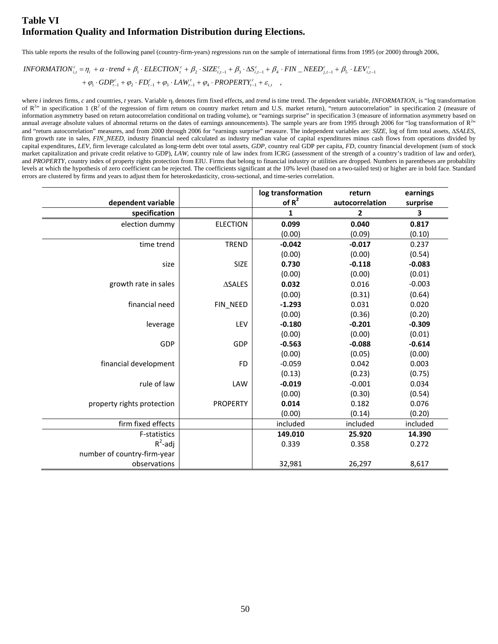## **Table VI Information Quality and Information Distribution during Elections.**

This table reports the results of the following panel (country-firm-years) regressions run on the sample of international firms from 1995 (or 2000) through 2006,

$$
INFORMATION_{i,t}^c = \eta_i + \alpha \cdot trend + \beta_1 \cdot ELECTION_t^c + \beta_2 \cdot SIZE_{i,t-1}^c + \beta_3 \cdot \Delta S_{i,t-1}^c + \beta_4 \cdot FIN\_NEED_{j,t-1}^c + \beta_5 \cdot LEV_{i,t-1}^c
$$
  
+  $\varphi_1 \cdot GDP_{t-1}^c + \varphi_2 \cdot FD_{t-1}^c + \varphi_3 \cdot LAW_{t-1}^c + \varphi_4 \cdot PROPERTIES_{t-1}^c + \varepsilon_{i,t}$ 

where *i* indexes firms, *c* and countries, *t* years. Variable  $\eta_i$  denotes firm fixed effects, and *trend* is time trend. The dependent variable, *INFORMATION*, is "log transformation of  $R^{2\nu}$  in specification 1 ( $R^2$  of the regression of firm return on country market return and U.S. market return), "return autocorrelation" in specification 2 (measure of information asymmetry based on return autocorrelation conditional on trading volume), or "earnings surprise" in specification 3 (measure of information asymmetry based on annual average absolute values of abnormal returns on the dates of earnings announcements). The sample years are from 1995 through 2006 for "log transformation of  $R^{2+}$ and "return autocorrelation" measures, and from 2000 through 2006 for "earnings surprise" measure. The independent variables are: *SIZE*, log of firm total assets, *SALES*, firm growth rate in sales, *FIN\_NEED*, industry financial need calculated as industry median value of capital expenditures minus cash flows from operations divided by capital expenditures, *LEV*, firm leverage calculated as long-term debt over total assets, *GDP*, country real GDP per capita, *FD*, country financial development (sum of stock market capitalization and private credit relative to GDP), *LAW*, country rule of law index from ICRG (assessment of the strength of a country's tradition of law and order), and PROPERTY, country index of property rights protection from EIU. Firms that belong to financial industry or utilities are dropped. Numbers in parentheses are probability levels at which the hypothesis of zero coefficient can be rejected. The coefficients significant at the 10% level (based on a two-tailed test) or higher are in bold face. Standard errors are clustered by firms and years to adjust them for heteroskedasticity, cross-sectional, and time-series correlation.

|                             |                 | log transformation | return          | earnings |
|-----------------------------|-----------------|--------------------|-----------------|----------|
| dependent variable          |                 | of $R^2$           | autocorrelation | surprise |
| specification               |                 | $\mathbf{1}$       | $\overline{2}$  | 3        |
| election dummy              | <b>ELECTION</b> | 0.099              | 0.040           | 0.817    |
|                             |                 | (0.00)             | (0.09)          | (0.10)   |
| time trend                  | <b>TREND</b>    | $-0.042$           | $-0.017$        | 0.237    |
|                             |                 | (0.00)             | (0.00)          | (0.54)   |
| size                        | <b>SIZE</b>     | 0.730              | $-0.118$        | $-0.083$ |
|                             |                 | (0.00)             | (0.00)          | (0.01)   |
| growth rate in sales        | <b>ASALES</b>   | 0.032              | 0.016           | $-0.003$ |
|                             |                 | (0.00)             | (0.31)          | (0.64)   |
| financial need              | FIN NEED        | $-1.293$           | 0.031           | 0.020    |
|                             |                 | (0.00)             | (0.36)          | (0.20)   |
| leverage                    | LEV             | $-0.180$           | $-0.201$        | $-0.309$ |
|                             |                 | (0.00)             | (0.00)          | (0.01)   |
| GDP                         | GDP             | $-0.563$           | $-0.088$        | $-0.614$ |
|                             |                 | (0.00)             | (0.05)          | (0.00)   |
| financial development       | <b>FD</b>       | $-0.059$           | 0.042           | 0.003    |
|                             |                 | (0.13)             | (0.23)          | (0.75)   |
| rule of law                 | LAW             | $-0.019$           | $-0.001$        | 0.034    |
|                             |                 | (0.00)             | (0.30)          | (0.54)   |
| property rights protection  | <b>PROPERTY</b> | 0.014              | 0.182           | 0.076    |
|                             |                 | (0.00)             | (0.14)          | (0.20)   |
| firm fixed effects          |                 | included           | included        | included |
| <b>F-statistics</b>         |                 | 149.010            | 25.920          | 14.390   |
| $R^2$ -adj                  |                 | 0.339              | 0.358           | 0.272    |
| number of country-firm-year |                 |                    |                 |          |
| observations                |                 | 32,981             | 26,297          | 8,617    |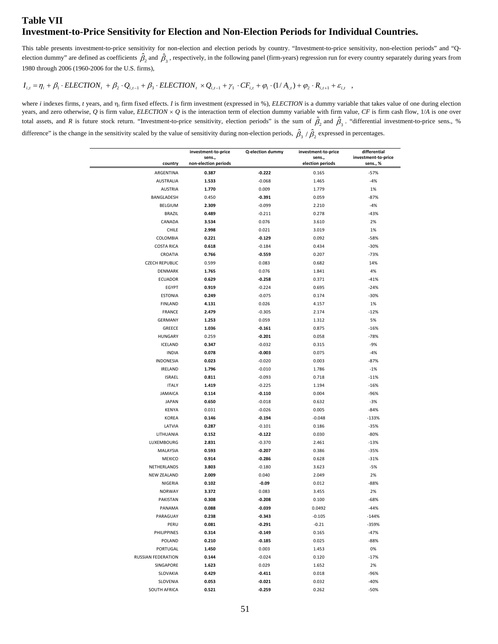## **Table VII Investment-to-Price Sensitivity for Election and Non-Election Periods for Individual Countries.**

This table presents investment-to-price sensitivity for non-election and election periods by country. "Investment-to-price sensitivity, non-election periods" and "Qelection dummy" are defined as coefficients  $\hat{\beta}_2$  and  $\hat{\beta}_3$ , respectively, in the following panel (firm-years) regression run for every country separately during years from 1980 through 2006 (1960-2006 for the U.S. firms),

## $I_{i,t} = \eta_i + \beta_1 \cdot ELECTION_t + \beta_2 \cdot Q_{i,t-1} + \beta_3 \cdot ELECTION_t \times Q_{i,t-1} + \gamma_1 \cdot CF_{i,t} + \varphi_1 \cdot (1/A_{i,t}) + \varphi_2 \cdot R_{i,t+1} + \varepsilon_{i,t}$

where  $i$  indexes firms,  $t$  years, and  $\eta_i$  firm fixed effects.  $I$  is firm investment (expressed in %), *ELECTION* is a dummy variable that takes value of one during election years, and zero otherwise, Q is firm value, ELECTION  $\times$  Q is the interaction term of election dummy variable with firm value, CF is firm cash flow, 1/*A* is one over total assets, and *R* is future stock return. "Investment-to-price sensitivity, election periods" is the sum of  $\hat{\beta}_2$  and  $\hat{\beta}_3$ . "differential investment-to-price sens., %

difference" is the change in the sensitivity scaled by the value of sensitivity during non-election periods,  $\hat{\beta}_3$  / $\hat{\beta}_2$  expressed in percentages.

|                       | investment-to-price  | Q-election dummy | investment-to-price | differential        |
|-----------------------|----------------------|------------------|---------------------|---------------------|
|                       | sens.,               |                  | sens.,              | investment-to-price |
| country               | non-election periods |                  | election periods    | sens., %            |
| ARGENTINA             | 0.387                | $-0.222$         | 0.165               | $-57%$              |
| <b>AUSTRALIA</b>      | 1.533                | $-0.068$         | 1.465               | $-4%$               |
| <b>AUSTRIA</b>        | 1.770                | 0.009            | 1.779               | 1%                  |
| BANGLADESH            | 0.450                | $-0.391$         | 0.059               | $-87%$              |
| <b>BELGIUM</b>        | 2.309                | $-0.099$         | 2.210               | $-4%$               |
| <b>BRAZIL</b>         | 0.489                | $-0.211$         | 0.278               | $-43%$              |
| CANADA                | 3.534                | 0.076            | 3.610               | 2%                  |
| CHILE                 | 2.998                | 0.021            | 3.019               | 1%                  |
| COLOMBIA              | 0.221                | $-0.129$         | 0.092               | $-58%$              |
| <b>COSTA RICA</b>     | 0.618                | $-0.184$         | 0.434               | $-30%$              |
| CROATIA               | 0.766                | $-0.559$         | 0.207               | $-73%$              |
| <b>CZECH REPUBLIC</b> | 0.599                | 0.083            | 0.682               | 14%                 |
| DENMARK               | 1.765                | 0.076            | 1.841               | 4%                  |
| ECUADOR               | 0.629                | $-0.258$         | 0.371               | $-41%$              |
| <b>EGYPT</b>          | 0.919                | $-0.224$         | 0.695               | $-24%$              |
| <b>ESTONIA</b>        | 0.249                | $-0.075$         | 0.174               | $-30%$              |
| <b>FINLAND</b>        | 4.131                | 0.026            | 4.157               | 1%                  |
| <b>FRANCE</b>         | 2.479                | $-0.305$         | 2.174               | $-12%$              |
| <b>GERMANY</b>        | 1.253                | 0.059            | 1.312               | 5%                  |
| <b>GREECE</b>         | 1.036                | $-0.161$         | 0.875               | $-16%$              |
| <b>HUNGARY</b>        | 0.259                | $-0.201$         | 0.058               | $-78%$              |
| ICELAND               | 0.347                | $-0.032$         | 0.315               | $-9%$               |
| <b>INDIA</b>          | 0.078                | $-0.003$         | 0.075               | $-4%$               |
| <b>INDONESIA</b>      | 0.023                | $-0.020$         | 0.003               | $-87%$              |
| <b>IRELAND</b>        | 1.796                | $-0.010$         | 1.786               | $-1%$               |
| <b>ISRAEL</b>         | 0.811                | $-0.093$         | 0.718               | $-11%$              |
| <b>ITALY</b>          | 1.419                | $-0.225$         | 1.194               | $-16%$              |
| <b>JAMAICA</b>        | 0.114                | $-0.110$         | 0.004               | $-96%$              |
| <b>JAPAN</b>          | 0.650                | $-0.018$         | 0.632               | $-3%$               |
| <b>KENYA</b>          | 0.031                | $-0.026$         | 0.005               | $-84%$              |
| KOREA                 | 0.146                | $-0.194$         | $-0.048$            | $-133%$             |
| LATVIA                | 0.287                | $-0.101$         | 0.186               | $-35%$              |
| LITHUANIA             | 0.152                | $-0.122$         | 0.030               | $-80%$              |
| LUXEMBOURG            | 2.831                | $-0.370$         | 2.461               | $-13%$              |
| MALAYSIA              | 0.593                | $-0.207$         | 0.386               | $-35%$              |
| <b>MEXICO</b>         | 0.914                | $-0.286$         | 0.628               | $-31%$              |
| NETHERLANDS           | 3.803                | $-0.180$         | 3.623               | $-5%$               |
| <b>NEW ZEALAND</b>    | 2.009                | 0.040            | 2.049               | 2%                  |
| NIGERIA               | 0.102                | $-0.09$          | 0.012               | $-88%$              |
| <b>NORWAY</b>         | 3.372                | 0.083            | 3.455               | 2%                  |
| <b>PAKISTAN</b>       | 0.308                | $-0.208$         | 0.100               | $-68%$              |
| PANAMA                | 0.088                | $-0.039$         | 0.0492              | $-44%$              |
|                       |                      | $-0.343$         |                     | $-144%$             |
| PARAGUAY              | 0.238                |                  | $-0.105$            |                     |
| PERU                  | 0.081                | $-0.291$         | $-0.21$             | $-359%$             |
| PHILIPPINES           | 0.314                | $-0.149$         | 0.165               | $-47%$              |
| POLAND                | 0.210                | $-0.185$         | 0.025               | $-88%$              |
| PORTUGAL              | 1.450                | 0.003            | 1.453               | 0%                  |
| RUSSIAN FEDERATION    | 0.144                | $-0.024$         | 0.120               | $-17%$              |
| SINGAPORE             | 1.623                | 0.029            | 1.652               | 2%                  |
| SLOVAKIA              | 0.429                | $-0.411$         | 0.018               | $-96%$              |
| SLOVENIA              | 0.053                | $-0.021$         | 0.032               | $-40%$              |
| SOUTH AFRICA          | 0.521                | $-0.259$         | 0.262               | $-50%$              |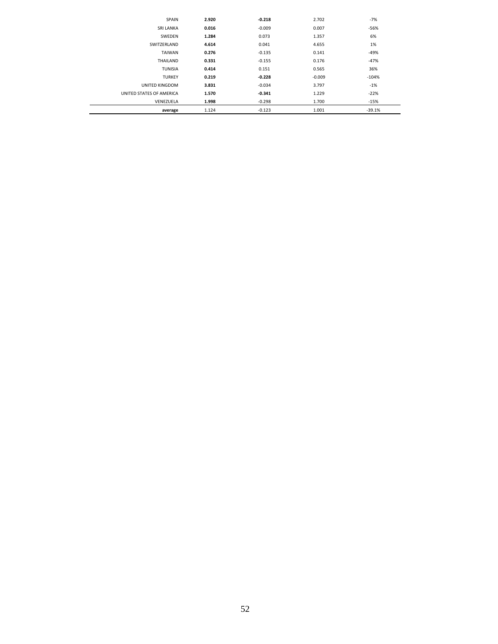| <b>SPAIN</b>             | 2.920 | $-0.218$ | 2.702    | $-7%$    |
|--------------------------|-------|----------|----------|----------|
| <b>SRI LANKA</b>         | 0.016 | $-0.009$ | 0.007    | $-56%$   |
| SWEDEN                   | 1.284 | 0.073    | 1.357    | 6%       |
| SWITZERLAND              | 4.614 | 0.041    | 4.655    | 1%       |
| <b>TAIWAN</b>            | 0.276 | $-0.135$ | 0.141    | -49%     |
| THAILAND                 | 0.331 | $-0.155$ | 0.176    | -47%     |
| <b>TUNISIA</b>           | 0.414 | 0.151    | 0.565    | 36%      |
| <b>TURKEY</b>            | 0.219 | $-0.228$ | $-0.009$ | $-104%$  |
| UNITED KINGDOM           | 3.831 | $-0.034$ | 3.797    | $-1%$    |
| UNITED STATES OF AMERICA | 1.570 | $-0.341$ | 1.229    | $-22%$   |
| VENEZUELA                | 1.998 | $-0.298$ | 1.700    | $-15%$   |
| average                  | 1.124 | $-0.123$ | 1.001    | $-39.1%$ |
|                          |       |          |          |          |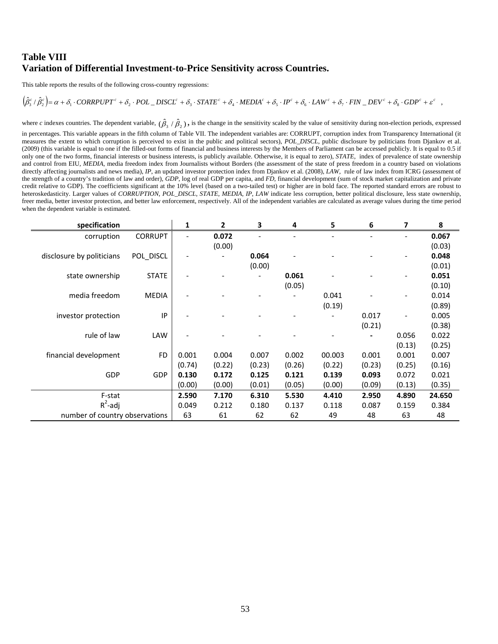## **Table VIII Variation of Differential Investment-to-Price Sensitivity across Countries.**

This table reports the results of the following cross-country regressions:

#### $\left(\!\hat{\beta}^c_3/\hat{\beta}^c_2\right)\!=\!\alpha+\delta_1\cdot CORRPUPT^c+\delta_2\cdot POL\_DISCL^c+\delta_3\cdot STATE^c+\delta_4\cdot MEDIA^c+\delta_5\cdot IP^c+\delta_6\cdot LAW^c+\delta_7\cdot FIN\_DEV^c+\delta_8\cdot GDP^c+\varepsilon^c\;\;\;,$

where *c* indexes countries. The dependent variable,  $(\hat{\beta}_3 / \hat{\beta}_2)$ , is the change in the sensitivity scaled by the value of sensitivity during non-election periods, expressed

in percentages. This variable appears in the fifth column of Table VII. The independent variables are: CORRUPT, corruption index from Transparency International (it measures the extent to which corruption is perceived to exist in the public and political sectors), *POL\_DISCL*, public disclosure by politicians from Djankov et al. (2009) (this variable is equal to one if the filled-out forms of financial and business interests by the Members of Parliament can be accessed publicly. It is equal to 0.5 if only one of the two forms, financial interests or business interests, is publicly available. Otherwise, it is equal to zero), *STATE*, index of prevalence of state ownership and control from EIU, *MEDIA*, media freedom index from Journalists without Borders (the assessment of the state of press freedom in a country based on violations directly affecting journalists and news media), *IP*, an updated investor protection index from Djankov et al. (2008), *LAW*, rule of law index from ICRG (assessment of the strength of a country's tradition of law and order), *GDP*, log of real GDP per capita, and *FD*, financial development (sum of stock market capitalization and private credit relative to GDP). The coefficients significant at the 10% level (based on a two-tailed test) or higher are in bold face. The reported standard errors are robust to heteroskedasticity. Larger values of *CORRUPTION*, *POL\_DISCL*, *STATE*, *MEDIA*, *IP*, *LAW* indicate less corruption, better political disclosure, less state ownership, freer media, better investor protection, and better law enforcement, respectively. All of the independent variables are calculated as average values during the time period when the dependent variable is estimated.

| specification                  |                | 1                            | 2      | 3      | 4      | 5      | 6      | 7      | 8      |
|--------------------------------|----------------|------------------------------|--------|--------|--------|--------|--------|--------|--------|
| corruption                     | <b>CORRUPT</b> |                              | 0.072  |        |        |        |        |        | 0.067  |
|                                |                |                              | (0.00) |        |        |        |        |        | (0.03) |
| disclosure by politicians      | POL_DISCL      | $\qquad \qquad \blacksquare$ |        | 0.064  |        |        |        | ٠      | 0.048  |
|                                |                |                              |        | (0.00) |        |        |        |        | (0.01) |
| state ownership                | <b>STATE</b>   |                              |        |        | 0.061  |        |        |        | 0.051  |
|                                |                |                              |        |        | (0.05) |        |        |        | (0.10) |
| media freedom                  | <b>MEDIA</b>   |                              |        |        |        | 0.041  |        |        | 0.014  |
|                                |                |                              |        |        |        | (0.19) |        |        | (0.89) |
| investor protection            | IP             |                              |        |        |        |        | 0.017  |        | 0.005  |
|                                |                |                              |        |        |        |        | (0.21) |        | (0.38) |
| rule of law                    | LAW            |                              |        |        |        |        |        | 0.056  | 0.022  |
|                                |                |                              |        |        |        |        |        | (0.13) | (0.25) |
| financial development          | <b>FD</b>      | 0.001                        | 0.004  | 0.007  | 0.002  | 00.003 | 0.001  | 0.001  | 0.007  |
|                                |                | (0.74)                       | (0.22) | (0.23) | (0.26) | (0.22) | (0.23) | (0.25) | (0.16) |
| GDP                            | <b>GDP</b>     | 0.130                        | 0.172  | 0.125  | 0.121  | 0.139  | 0.093  | 0.072  | 0.021  |
|                                |                | (0.00)                       | (0.00) | (0.01) | (0.05) | (0.00) | (0.09) | (0.13) | (0.35) |
| F-stat                         |                | 2.590                        | 7.170  | 6.310  | 5.530  | 4.410  | 2.950  | 4.890  | 24.650 |
| $R^2$ -adj                     |                | 0.049                        | 0.212  | 0.180  | 0.137  | 0.118  | 0.087  | 0.159  | 0.384  |
| number of country observations |                | 63                           | 61     | 62     | 62     | 49     | 48     | 63     | 48     |